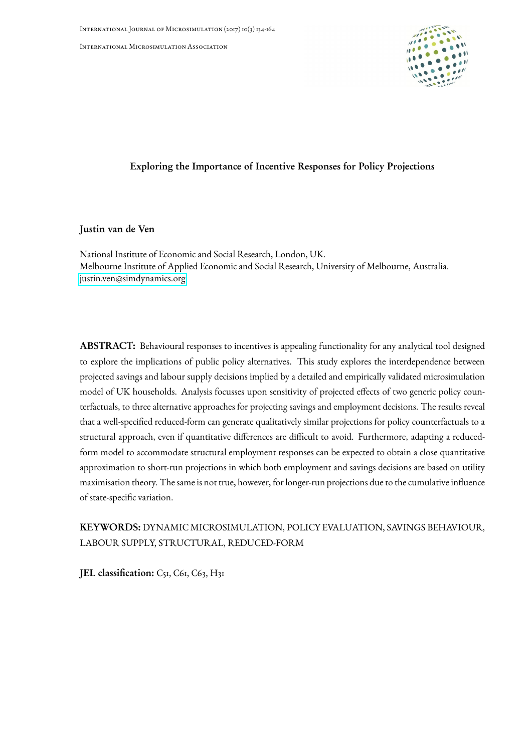International Microsimulation Association



## Exploring the Importance of Incentive Responses for Policy Projections

## Justin van de Ven

National Institute of Economic and Social Research, London, UK. Melbourne Institute of Applied Economic and Social Research, University of Melbourne, Australia. [justin.ven@simdynamics.org](mailto:justin.ven@simdynamics.org)

ABSTRACT: Behavioural responses to incentives is appealing functionality for any analytical tool designed to explore the implications of public policy alternatives. This study explores the interdependence between projected savings and labour supply decisions implied by a detailed and empirically validated microsimulation model of UK households. Analysis focusses upon sensitivity of projected effects of two generic policy counterfactuals, to three alternative approaches for projecting savings and employment decisions. The results reveal that a well-specified reduced-form can generate qualitatively similar projections for policy counterfactuals to a structural approach, even if quantitative differences are difficult to avoid. Furthermore, adapting a reducedform model to accommodate structural employment responses can be expected to obtain a close quantitative approximation to short-run projections in which both employment and savings decisions are based on utility maximisation theory. The same is not true, however, for longer-run projections due to the cumulative influence of state-specific variation.

# KEYWORDS: DYNAMIC MICROSIMULATION, POLICY EVALUATION, SAVINGS BEHAVIOUR, LABOUR SUPPLY, STRUCTURAL, REDUCED-FORM

JEL classification: C51, C61, C63, H31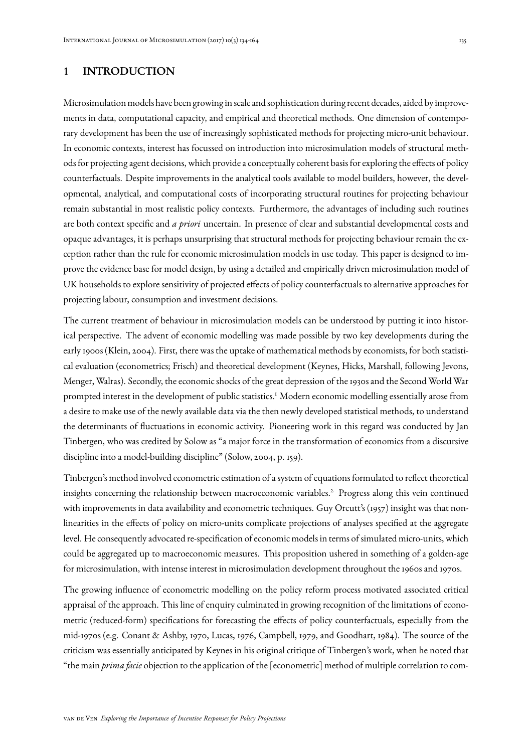## 1 INTRODUCTION

Microsimulation models have been growing in scale and sophistication during recent decades, aided by improvements in data, computational capacity, and empirical and theoretical methods. One dimension of contemporary development has been the use of increasingly sophisticated methods for projecting micro-unit behaviour. In economic contexts, interest has focussed on introduction into microsimulation models of structural methods for projecting agent decisions, which provide a conceptually coherent basis for exploring the effects of policy counterfactuals. Despite improvements in the analytical tools available to model builders, however, the developmental, analytical, and computational costs of incorporating structural routines for projecting behaviour remain substantial in most realistic policy contexts. Furthermore, the advantages of including such routines are both context specific and *a priori* uncertain. In presence of clear and substantial developmental costs and opaque advantages, it is perhaps unsurprising that structural methods for projecting behaviour remain the exception rather than the rule for economic microsimulation models in use today. This paper is designed to improve the evidence base for model design, by using a detailed and empirically driven microsimulation model of UK households to explore sensitivity of projected effects of policy counterfactuals to alternative approaches for projecting labour, consumption and investment decisions.

The current treatment of behaviour in microsimulation models can be understood by putting it into historical perspective. The advent of economic modelling was made possible by two key developments during the early 1900s (Klein, 2004). First, there was the uptake of mathematical methods by economists, for both statistical evaluation (econometrics; Frisch) and theoretical development (Keynes, Hicks, Marshall, following Jevons, Menger, Walras). Secondly, the economic shocks of the great depression of the 1930s and the Second World War prompted interest in the development of public statistics.<sup>1</sup> Modern economic modelling essentially arose from a desire to make use of the newly available data via the then newly developed statistical methods, to understand the determinants of fluctuations in economic activity. Pioneering work in this regard was conducted by Jan Tinbergen, who was credited by Solow as "a major force in the transformation of economics from a discursive discipline into a model-building discipline" (Solow, 2004, p. 159).

Tinbergen's method involved econometric estimation of a system of equations formulated to reflect theoretical insights concerning the relationship between macroeconomic variables.<sup>2</sup> Progress along this vein continued with improvements in data availability and econometric techniques. Guy Orcutt's (1957) insight was that nonlinearities in the effects of policy on micro-units complicate projections of analyses specified at the aggregate level. He consequently advocated re-specification of economic models in terms of simulated micro-units, which could be aggregated up to macroeconomic measures. This proposition ushered in something of a golden-age for microsimulation, with intense interest in microsimulation development throughout the 1960s and 1970s.

The growing influence of econometric modelling on the policy reform process motivated associated critical appraisal of the approach. This line of enquiry culminated in growing recognition of the limitations of econometric (reduced-form) specifications for forecasting the effects of policy counterfactuals, especially from the mid-1970s (e.g. Conant & Ashby, 1970, Lucas, 1976, Campbell, 1979, and Goodhart, 1984). The source of the criticism was essentially anticipated by Keynes in his original critique of Tinbergen's work, when he noted that "the main *prima facie* objection to the application of the [econometric] method of multiple correlation to com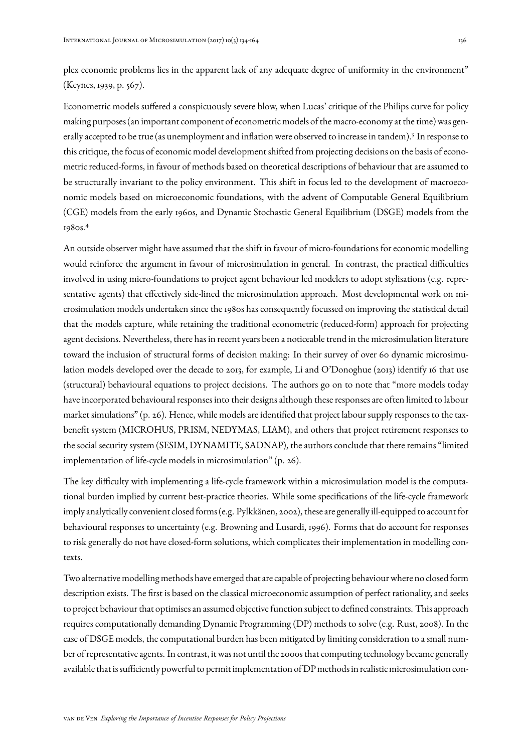plex economic problems lies in the apparent lack of any adequate degree of uniformity in the environment" (Keynes, 1939, p. 567).

Econometric models suffered a conspicuously severe blow, when Lucas' critique of the Philips curve for policy making purposes (an important component of econometric models of the macro-economy at the time) was generally accepted to be true (as unemployment and inflation were observed to increase in tandem).<sup>3</sup> In response to this critique, the focus of economic model development shifted from projecting decisions on the basis of econometric reduced-forms, in favour of methods based on theoretical descriptions of behaviour that are assumed to be structurally invariant to the policy environment. This shift in focus led to the development of macroeconomic models based on microeconomic foundations, with the advent of Computable General Equilibrium (CGE) models from the early 1960s, and Dynamic Stochastic General Equilibrium (DSGE) models from the 1980s.<sup>4</sup>

An outside observer might have assumed that the shift in favour of micro-foundations for economic modelling would reinforce the argument in favour of microsimulation in general. In contrast, the practical difficulties involved in using micro-foundations to project agent behaviour led modelers to adopt stylisations (e.g. representative agents) that effectively side-lined the microsimulation approach. Most developmental work on microsimulation models undertaken since the 1980s has consequently focussed on improving the statistical detail that the models capture, while retaining the traditional econometric (reduced-form) approach for projecting agent decisions. Nevertheless, there has in recent years been a noticeable trend in the microsimulation literature toward the inclusion of structural forms of decision making: In their survey of over 60 dynamic microsimulation models developed over the decade to 2013, for example, Li and O'Donoghue (2013) identify 16 that use (structural) behavioural equations to project decisions. The authors go on to note that "more models today have incorporated behavioural responses into their designs although these responses are often limited to labour market simulations" (p. 26). Hence, while models are identified that project labour supply responses to the taxbenefit system (MICROHUS, PRISM, NEDYMAS, LIAM), and others that project retirement responses to the social security system (SESIM, DYNAMITE, SADNAP), the authors conclude that there remains "limited implementation of life-cycle models in microsimulation" (p. 26).

The key difficulty with implementing a life-cycle framework within a microsimulation model is the computational burden implied by current best-practice theories. While some specifications of the life-cycle framework imply analytically convenient closed forms (e.g. Pylkkänen, 2002), these are generally ill-equipped to account for behavioural responses to uncertainty (e.g. Browning and Lusardi, 1996). Forms that do account for responses to risk generally do not have closed-form solutions, which complicates their implementation in modelling contexts.

Two alternative modelling methods have emerged that are capable of projecting behaviour where no closed form description exists. The first is based on the classical microeconomic assumption of perfect rationality, and seeks to project behaviour that optimises an assumed objective function subject to defined constraints. This approach requires computationally demanding Dynamic Programming (DP) methods to solve (e.g. Rust, 2008). In the case of DSGE models, the computational burden has been mitigated by limiting consideration to a small number of representative agents. In contrast, it was not until the 2000s that computing technology became generally available that is sufficiently powerful to permit implementation of DP methods in realistic microsimulation con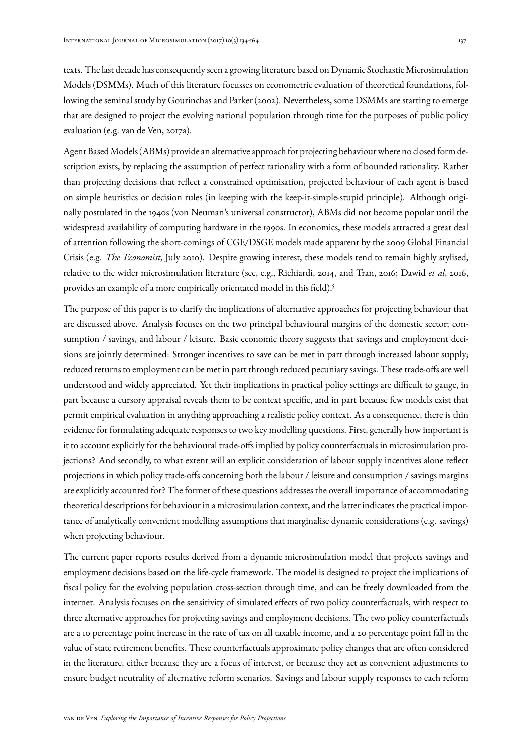texts. The last decade has consequently seen a growing literature based on Dynamic Stochastic Microsimulation Models (DSMMs). Much of this literature focusses on econometric evaluation of theoretical foundations, following the seminal study by Gourinchas and Parker (2002). Nevertheless, some DSMMs are starting to emerge that are designed to project the evolving national population through time for the purposes of public policy evaluation (e.g. van de Ven, 2017a).

Agent BasedModels (ABMs) provide an alternative approach for projecting behaviour where no closed form description exists, by replacing the assumption of perfect rationality with a form of bounded rationality. Rather than projecting decisions that reflect a constrained optimisation, projected behaviour of each agent is based on simple heuristics or decision rules (in keeping with the keep-it-simple-stupid principle). Although originally postulated in the 1940s (von Neuman's universal constructor), ABMs did not become popular until the widespread availability of computing hardware in the 1990s. In economics, these models attracted a great deal of attention following the short-comings of CGE/DSGE models made apparent by the 2009 Global Financial Crisis (e.g. *The Economist*, July 2010). Despite growing interest, these models tend to remain highly stylised, relative to the wider microsimulation literature (see, e.g., Richiardi, 2014, and Tran, 2016; Dawid *et al*, 2016, provides an example of a more empirically orientated model in this field).<sup>5</sup>

The purpose of this paper is to clarify the implications of alternative approaches for projecting behaviour that are discussed above. Analysis focuses on the two principal behavioural margins of the domestic sector; consumption / savings, and labour / leisure. Basic economic theory suggests that savings and employment decisions are jointly determined: Stronger incentives to save can be met in part through increased labour supply; reduced returns to employment can be met in part through reduced pecuniary savings. These trade-offs are well understood and widely appreciated. Yet their implications in practical policy settings are difficult to gauge, in part because a cursory appraisal reveals them to be context specific, and in part because few models exist that permit empirical evaluation in anything approaching a realistic policy context. As a consequence, there is thin evidence for formulating adequate responses to two key modelling questions. First, generally how important is it to account explicitly for the behavioural trade-offs implied by policy counterfactuals in microsimulation projections? And secondly, to what extent will an explicit consideration of labour supply incentives alone reflect projections in which policy trade-offs concerning both the labour / leisure and consumption / savings margins are explicitly accounted for? The former of these questions addresses the overall importance of accommodating theoretical descriptions for behaviour in a microsimulation context, and the latter indicates the practical importance of analytically convenient modelling assumptions that marginalise dynamic considerations (e.g. savings) when projecting behaviour.

The current paper reports results derived from a dynamic microsimulation model that projects savings and employment decisions based on the life-cycle framework. The model is designed to project the implications of fiscal policy for the evolving population cross-section through time, and can be freely downloaded from the internet. Analysis focuses on the sensitivity of simulated effects of two policy counterfactuals, with respect to three alternative approaches for projecting savings and employment decisions. The two policy counterfactuals are a 10 percentage point increase in the rate of tax on all taxable income, and a 20 percentage point fall in the value of state retirement benefits. These counterfactuals approximate policy changes that are often considered in the literature, either because they are a focus of interest, or because they act as convenient adjustments to ensure budget neutrality of alternative reform scenarios. Savings and labour supply responses to each reform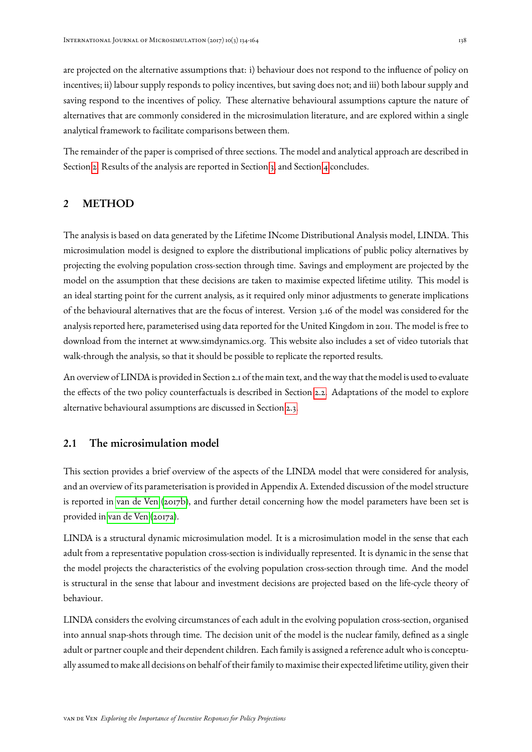are projected on the alternative assumptions that: i) behaviour does not respond to the influence of policy on incentives; ii) labour supply responds to policy incentives, but saving does not; and iii) both labour supply and saving respond to the incentives of policy. These alternative behavioural assumptions capture the nature of alternatives that are commonly considered in the microsimulation literature, and are explored within a single analytical framework to facilitate comparisons between them.

The remainder of the paper is comprised of three sections. The model and analytical approach are described in Section [2.](#page-4-0) Results of the analysis are reported in Section [3,](#page-17-0) and Section [4](#page-27-0) concludes.

## <span id="page-4-0"></span>2 METHOD

The analysis is based on data generated by the Lifetime INcome Distributional Analysis model, LINDA. This microsimulation model is designed to explore the distributional implications of public policy alternatives by projecting the evolving population cross-section through time. Savings and employment are projected by the model on the assumption that these decisions are taken to maximise expected lifetime utility. This model is an ideal starting point for the current analysis, as it required only minor adjustments to generate implications of the behavioural alternatives that are the focus of interest. Version 3.16 of the model was considered for the analysis reported here, parameterised using data reported for the United Kingdom in 2011. The model is free to download from the internet at www.simdynamics.org. This website also includes a set of video tutorials that walk-through the analysis, so that it should be possible to replicate the reported results.

An overview of LINDA is provided in Section 2.1 of the main text, and the way that the model is used to evaluate the effects of the two policy counterfactuals is described in Section [2.2.](#page-10-0) Adaptations of the model to explore alternative behavioural assumptions are discussed in Section [2.3.](#page-12-0)

## <span id="page-4-1"></span>2.1 The microsimulation model

This section provides a brief overview of the aspects of the LINDA model that were considered for analysis, and an overview of its parameterisation is provided in Appendix A. Extended discussion of the model structure is reported in [van de Ven](#page-30-0) [\(2017b\)](#page-30-0), and further detail concerning how the model parameters have been set is provided in [van de Ven](#page-30-1) [\(2017a\)](#page-30-1).

LINDA is a structural dynamic microsimulation model. It is a microsimulation model in the sense that each adult from a representative population cross-section is individually represented. It is dynamic in the sense that the model projects the characteristics of the evolving population cross-section through time. And the model is structural in the sense that labour and investment decisions are projected based on the life-cycle theory of behaviour.

LINDA considers the evolving circumstances of each adult in the evolving population cross-section, organised into annual snap-shots through time. The decision unit of the model is the nuclear family, defined as a single adult or partner couple and their dependent children. Each family is assigned a reference adult who is conceptually assumed to make all decisions on behalf of their family to maximise their expected lifetime utility, given their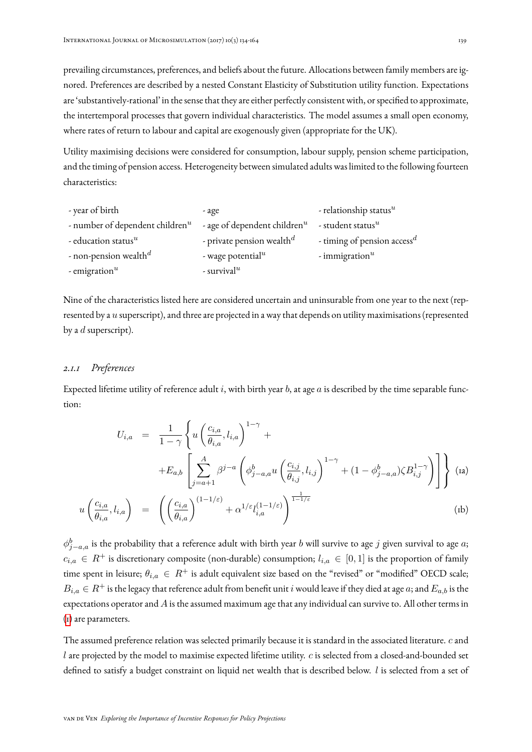prevailing circumstances, preferences, and beliefs about the future. Allocations between family members are ignored. Preferences are described by a nested Constant Elasticity of Substitution utility function. Expectations are 'substantively-rational' in the sense that they are either perfectly consistent with, or specified to approximate, the intertemporal processes that govern individual characteristics. The model assumes a small open economy, where rates of return to labour and capital are exogenously given (appropriate for the UK).

Utility maximising decisions were considered for consumption, labour supply, pension scheme participation, and the timing of pension access. Heterogeneity between simulated adults was limited to the following fourteen characteristics:

| - year of birth                     | - age                                 | - relationship status $^u$              |
|-------------------------------------|---------------------------------------|-----------------------------------------|
| - number of dependent children $^u$ | - age of dependent children $^u$      | - student status $^u$                   |
| - education status $^u$             | - private pension wealth <sup>d</sup> | - timing of pension access <sup>d</sup> |
| - non-pension wealth <sup>d</sup>   | - wage potential $^u$                 | - immigration $u$                       |
| - emigration $u$                    | - survival <sup>u</sup>               |                                         |

Nine of the characteristics listed here are considered uncertain and uninsurable from one year to the next (represented by a u superscript), and three are projected in a way that depends on utility maximisations (represented by a  $d$  superscript).

### *2.1.1 Preferences*

<span id="page-5-0"></span>Expected lifetime utility of reference adult  $i$ , with birth year  $b$ , at age  $a$  is described by the time separable function:

<span id="page-5-1"></span>
$$
U_{i,a} = \frac{1}{1-\gamma} \left\{ u \left( \frac{c_{i,a}}{\theta_{i,a}}, l_{i,a} \right)^{1-\gamma} + \right.\left. + E_{a,b} \left[ \sum_{j=a+1}^{A} \beta^{j-a} \left( \phi_{j-a,a}^{b} u \left( \frac{c_{i,j}}{\theta_{i,j}}, l_{i,j} \right)^{1-\gamma} + (1 - \phi_{j-a,a}^{b}) \zeta B_{i,j}^{1-\gamma} \right) \right] \right\} \text{ (ia)}
$$
\n
$$
u \left( \frac{c_{i,a}}{\theta_{i,a}}, l_{i,a} \right) = \left( \left( \frac{c_{i,a}}{\theta_{i,a}} \right)^{(1-1/\varepsilon)} + \alpha^{1/\varepsilon} l_{i,a}^{(1-1/\varepsilon)} \right)^{\frac{1}{1-1/\varepsilon}} \tag{b}
$$

 $\phi^b_{j-a,a}$  is the probability that a reference adult with birth year  $b$  will survive to age  $j$  given survival to age  $a;$  $c_{i,a} \in R^+$  is discretionary composite (non-durable) consumption;  $l_{i,a} \in [0,1]$  is the proportion of family time spent in leisure;  $\theta_{i,a} \in R^+$  is adult equivalent size based on the "revised" or "modified" OECD scale;  $B_{i,a} \in R^+$  is the legacy that reference adult from benefit unit i would leave if they died at age a; and  $E_{a,b}$  is the expectations operator and  $A$  is the assumed maximum age that any individual can survive to. All other terms in [\(1\)](#page-5-0) are parameters.

The assumed preference relation was selected primarily because it is standard in the associated literature. c and l are projected by the model to maximise expected lifetime utility. c is selected from a closed-and-bounded set defined to satisfy a budget constraint on liquid net wealth that is described below. l is selected from a set of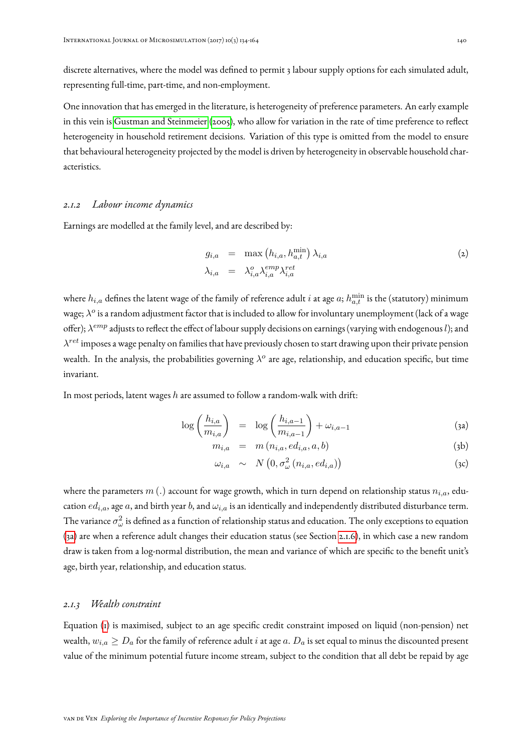discrete alternatives, where the model was defined to permit 3 labour supply options for each simulated adult, representing full-time, part-time, and non-employment.

One innovation that has emerged in the literature, is heterogeneity of preference parameters. An early example in this vein is [Gustman and Steinmeier](#page-29-0) [\(2005\)](#page-29-0), who allow for variation in the rate of time preference to reflect heterogeneity in household retirement decisions. Variation of this type is omitted from the model to ensure that behavioural heterogeneity projected by the model is driven by heterogeneity in observable household characteristics.

#### <span id="page-6-1"></span>*2.1.2 Labour income dynamics*

Earnings are modelled at the family level, and are described by:

$$
g_{i,a} = \max(h_{i,a}, h_{a,t}^{\min}) \lambda_{i,a}
$$
  
\n
$$
\lambda_{i,a} = \lambda_{i,a}^o \lambda_{i,a}^{emp} \lambda_{i,a}^{ret}
$$
\n(2)

where  $h_{i,a}$  defines the latent wage of the family of reference adult  $i$  at age  $a$ ;  $h_{a,t}^{\min}$  is the (statutory) minimum wage;  $\lambda^o$  is a random adjustment factor that is included to allow for involuntary unemployment (lack of a wage offer);  $\lambda^{emp}$  adjusts to reflect the effect of labour supply decisions on earnings (varying with endogenous  $l$ ); and  $\lambda^{ret}$  imposes a wage penalty on families that have previously chosen to start drawing upon their private pension wealth. In the analysis, the probabilities governing  $\lambda^o$  are age, relationship, and education specific, but time invariant.

In most periods, latent wages  $h$  are assumed to follow a random-walk with drift:

<span id="page-6-0"></span>
$$
\log\left(\frac{h_{i,a}}{m_{i,a}}\right) = \log\left(\frac{h_{i,a-1}}{m_{i,a-1}}\right) + \omega_{i,a-1} \tag{3a}
$$

$$
m_{i,a} = m(n_{i,a}, ed_{i,a}, a, b) \tag{3b}
$$

$$
\omega_{i,a} \sim N\left(0, \sigma_{\omega}^2\left(n_{i,a}, ed_{i,a}\right)\right) \tag{3c}
$$

where the parameters  $m(.)$  account for wage growth, which in turn depend on relationship status  $n_{i,a}$ , education  $ed_{i,a}$ , age a, and birth year b, and  $\omega_{i,a}$  is an identically and independently distributed disturbance term. The variance  $\sigma_\omega^2$  is defined as a function of relationship status and education. The only exceptions to equation [\(3a\)](#page-6-0) are when a reference adult changes their education status (see Section [2.1.6\)](#page-8-0), in which case a new random draw is taken from a log-normal distribution, the mean and variance of which are specific to the benefit unit's age, birth year, relationship, and education status.

#### *2.1.3 Wealth constraint*

Equation [\(1\)](#page-5-0) is maximised, subject to an age specific credit constraint imposed on liquid (non-pension) net wealth,  $w_{i,a} \ge D_a$  for the family of reference adult i at age a.  $D_a$  is set equal to minus the discounted present value of the minimum potential future income stream, subject to the condition that all debt be repaid by age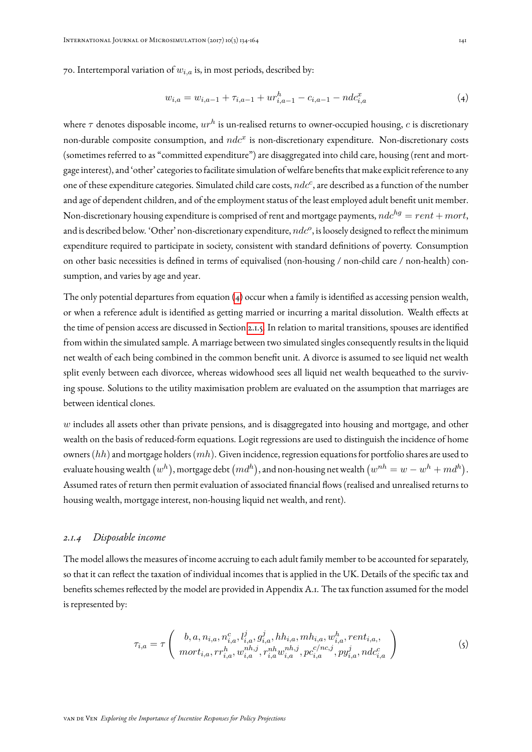70. Intertemporal variation of  $w_{i,a}$  is, in most periods, described by:

<span id="page-7-0"></span>
$$
w_{i,a} = w_{i,a-1} + \tau_{i,a-1} + ur_{i,a-1}^h - c_{i,a-1} - ndc_{i,a}^x \tag{4}
$$

where  $\tau$  denotes disposable income,  $ur^h$  is un-realised returns to owner-occupied housing,  $c$  is discretionary non-durable composite consumption, and  $ndc^x$  is non-discretionary expenditure. Non-discretionary costs (sometimes referred to as "committed expenditure") are disaggregated into child care, housing (rent and mortgage interest), and 'other' categories to facilitate simulation of welfare benefits that make explicit reference to any one of these expenditure categories. Simulated child care costs,  $ndc^c$ , are described as a function of the number and age of dependent children, and of the employment status of the least employed adult benefit unit member. Non-discretionary housing expenditure is comprised of rent and mortgage payments,  $ndc^{hg} = rent + mort$ , and is described below. 'Other' non-discretionary expenditure,  $ndc^o$ , is loosely designed to reflect the minimum expenditure required to participate in society, consistent with standard definitions of poverty. Consumption on other basic necessities is defined in terms of equivalised (non-housing / non-child care / non-health) consumption, and varies by age and year.

The only potential departures from equation [\(4\)](#page-7-0) occur when a family is identified as accessing pension wealth, or when a reference adult is identified as getting married or incurring a marital dissolution. Wealth effects at the time of pension access are discussed in Section [2.1.5.](#page-8-1) In relation to marital transitions, spouses are identified from within the simulated sample. A marriage between two simulated singles consequently results in the liquid net wealth of each being combined in the common benefit unit. A divorce is assumed to see liquid net wealth split evenly between each divorcee, whereas widowhood sees all liquid net wealth bequeathed to the surviving spouse. Solutions to the utility maximisation problem are evaluated on the assumption that marriages are between identical clones.

 $w$  includes all assets other than private pensions, and is disaggregated into housing and mortgage, and other wealth on the basis of reduced-form equations. Logit regressions are used to distinguish the incidence of home owners  $(hh)$  and mortgage holders  $(mh)$ . Given incidence, regression equations for portfolio shares are used to evaluate housing wealth  $(w^h),$  mortgage debt  $(md^h),$  and non-housing net wealth  $(w^{nh}=w-w^h+md^h).$ Assumed rates of return then permit evaluation of associated financial flows (realised and unrealised returns to housing wealth, mortgage interest, non-housing liquid net wealth, and rent).

#### *2.1.4 Disposable income*

The model allows the measures of income accruing to each adult family member to be accounted for separately, so that it can reflect the taxation of individual incomes that is applied in the UK. Details of the specific tax and benefits schemes reflected by the model are provided in Appendix A.1. The tax function assumed for the model is represented by:

$$
\tau_{i,a} = \tau \left( b, a, n_{i,a}, n_{i,a}^c, l_{i,a}^j, g_{i,a}^j, hh_{i,a}, mh_{i,a}, w_{i,a}^h, rent_{i,a}, \ nort_{i,a}, rr_{i,a}^h, w_{i,a}^{nh,j}, r_{i,a}^{nh} w_{i,a}^{nh,j}, pc_{i,a}^{c/nc,j}, py_{i,a}^j, ndc_{i,a}^c \right) \tag{5}
$$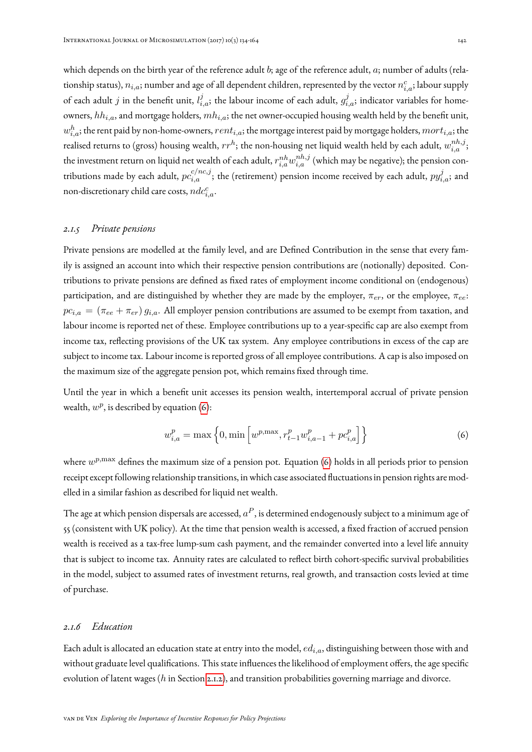which depends on the birth year of the reference adult b; age of the reference adult,  $a$ ; number of adults (relationship status),  $n_{i,a}$ ; number and age of all dependent children, represented by the vector  $n_{i,a}^c$ ; labour supply of each adult  $j$  in the benefit unit,  $l_{i,a}^j$ ; the labour income of each adult,  $g_{i,a}^j$ ; indicator variables for homeowners,  $hh_{i,a}$ , and mortgage holders,  $mh_{i,a}$ ; the net owner-occupied housing wealth held by the benefit unit,  $w_{i,a}^h$ ; the rent paid by non-home-owners,  $rent_{i,a}$ ; the mortgage interest paid by mortgage holders,  $mort_{i,a}$ ; the realised returns to (gross) housing wealth,  $rr^h$ ; the non-housing net liquid wealth held by each adult,  $w_{i,a}^{nh,j};$ the investment return on liquid net wealth of each adult,  $r^{nh}_{i,a}w^{nh,j}_{i,a}$  (which may be negative); the pension contributions made by each adult,  $pc_{i,a}^{c/nc,j};$  the (retirement) pension income received by each adult,  $py_{i,a}^j;$  and non-discretionary child care costs,  $ndc_{i,a}^c$ .

## <span id="page-8-1"></span>*2.1.5 Private pensions*

Private pensions are modelled at the family level, and are Defined Contribution in the sense that every family is assigned an account into which their respective pension contributions are (notionally) deposited. Contributions to private pensions are defined as fixed rates of employment income conditional on (endogenous) participation, and are distinguished by whether they are made by the employer,  $\pi_{er}$ , or the employee,  $\pi_{ee}$ :  $pc_{i,a} = (\pi_{ee} + \pi_{er}) g_{i,a}$ . All employer pension contributions are assumed to be exempt from taxation, and labour income is reported net of these. Employee contributions up to a year-specific cap are also exempt from income tax, reflecting provisions of the UK tax system. Any employee contributions in excess of the cap are subject to income tax. Labour income is reported gross of all employee contributions. A cap is also imposed on the maximum size of the aggregate pension pot, which remains fixed through time.

Until the year in which a benefit unit accesses its pension wealth, intertemporal accrual of private pension wealth,  $w^p$ , is described by equation [\(6\)](#page-8-2):

<span id="page-8-2"></span>
$$
w_{i,a}^p = \max\left\{0, \min\left[w^{p,\max}, r_{t-1}^p w_{i,a-1}^p + p c_{i,a}^p\right]\right\}
$$
(6)

where  $w^{p, \max}$  defines the maximum size of a pension pot. Equation [\(6\)](#page-8-2) holds in all periods prior to pension receipt except following relationship transitions, in which case associated fluctuations in pension rights are modelled in a similar fashion as described for liquid net wealth.

The age at which pension dispersals are accessed,  $a^P$ , is determined endogenously subject to a minimum age of 55 (consistent with UK policy). At the time that pension wealth is accessed, a fixed fraction of accrued pension wealth is received as a tax-free lump-sum cash payment, and the remainder converted into a level life annuity that is subject to income tax. Annuity rates are calculated to reflect birth cohort-specific survival probabilities in the model, subject to assumed rates of investment returns, real growth, and transaction costs levied at time of purchase.

## <span id="page-8-0"></span>*2.1.6 Education*

Each adult is allocated an education state at entry into the model,  $ed_{i,a}$ , distinguishing between those with and without graduate level qualifications. This state influences the likelihood of employment offers, the age specific evolution of latent wages (h in Section [2.1.2\)](#page-6-1), and transition probabilities governing marriage and divorce.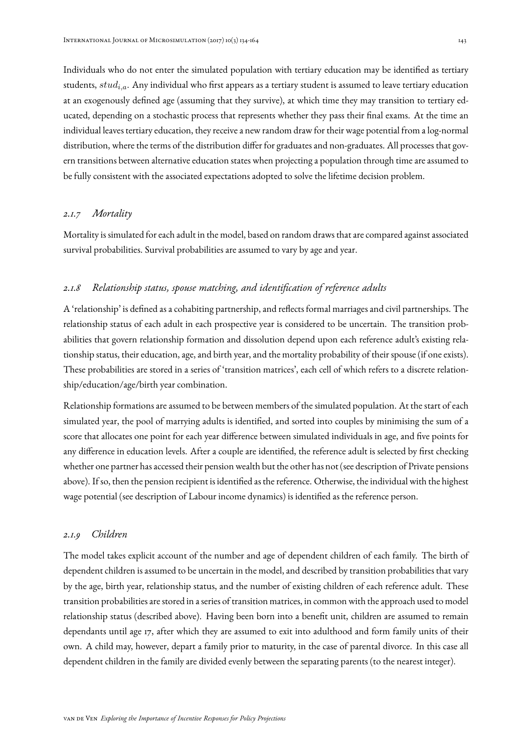Individuals who do not enter the simulated population with tertiary education may be identified as tertiary students,  $stud_{i.a}$ . Any individual who first appears as a tertiary student is assumed to leave tertiary education at an exogenously defined age (assuming that they survive), at which time they may transition to tertiary educated, depending on a stochastic process that represents whether they pass their final exams. At the time an individual leaves tertiary education, they receive a new random draw for their wage potential from a log-normal distribution, where the terms of the distribution differ for graduates and non-graduates. All processes that govern transitions between alternative education states when projecting a population through time are assumed to be fully consistent with the associated expectations adopted to solve the lifetime decision problem.

### *2.1.7 Mortality*

Mortality is simulated for each adult in the model, based on random draws that are compared against associated survival probabilities. Survival probabilities are assumed to vary by age and year.

### *2.1.8 Relationship status, spouse matching, and identification of reference adults*

A 'relationship' is defined as a cohabiting partnership, and reflects formal marriages and civil partnerships. The relationship status of each adult in each prospective year is considered to be uncertain. The transition probabilities that govern relationship formation and dissolution depend upon each reference adult's existing relationship status, their education, age, and birth year, and the mortality probability of their spouse (if one exists). These probabilities are stored in a series of 'transition matrices', each cell of which refers to a discrete relationship/education/age/birth year combination.

Relationship formations are assumed to be between members of the simulated population. At the start of each simulated year, the pool of marrying adults is identified, and sorted into couples by minimising the sum of a score that allocates one point for each year difference between simulated individuals in age, and five points for any difference in education levels. After a couple are identified, the reference adult is selected by first checking whether one partner has accessed their pension wealth but the other has not (see description of Private pensions above). If so, then the pension recipient is identified as the reference. Otherwise, the individual with the highest wage potential (see description of Labour income dynamics) is identified as the reference person.

### *2.1.9 Children*

The model takes explicit account of the number and age of dependent children of each family. The birth of dependent children is assumed to be uncertain in the model, and described by transition probabilities that vary by the age, birth year, relationship status, and the number of existing children of each reference adult. These transition probabilities are stored in a series of transition matrices, in common with the approach used to model relationship status (described above). Having been born into a benefit unit, children are assumed to remain dependants until age 17, after which they are assumed to exit into adulthood and form family units of their own. A child may, however, depart a family prior to maturity, in the case of parental divorce. In this case all dependent children in the family are divided evenly between the separating parents (to the nearest integer).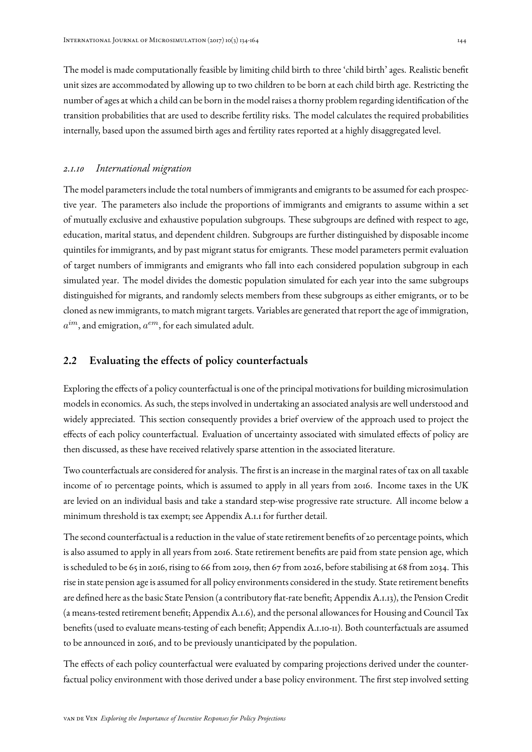The model is made computationally feasible by limiting child birth to three 'child birth' ages. Realistic benefit unit sizes are accommodated by allowing up to two children to be born at each child birth age. Restricting the number of ages at which a child can be born in the model raises a thorny problem regarding identification of the transition probabilities that are used to describe fertility risks. The model calculates the required probabilities internally, based upon the assumed birth ages and fertility rates reported at a highly disaggregated level.

#### *2.1.10 International migration*

The model parameters include the total numbers of immigrants and emigrants to be assumed for each prospective year. The parameters also include the proportions of immigrants and emigrants to assume within a set of mutually exclusive and exhaustive population subgroups. These subgroups are defined with respect to age, education, marital status, and dependent children. Subgroups are further distinguished by disposable income quintiles for immigrants, and by past migrant status for emigrants. These model parameters permit evaluation of target numbers of immigrants and emigrants who fall into each considered population subgroup in each simulated year. The model divides the domestic population simulated for each year into the same subgroups distinguished for migrants, and randomly selects members from these subgroups as either emigrants, or to be cloned as new immigrants, to match migrant targets. Variables are generated that report the age of immigration,  $a^{im}$ , and emigration,  $a^{em}$ , for each simulated adult.

### <span id="page-10-0"></span>2.2 Evaluating the effects of policy counterfactuals

Exploring the effects of a policy counterfactual is one of the principal motivations for building microsimulation models in economics. As such, the steps involved in undertaking an associated analysis are well understood and widely appreciated. This section consequently provides a brief overview of the approach used to project the effects of each policy counterfactual. Evaluation of uncertainty associated with simulated effects of policy are then discussed, as these have received relatively sparse attention in the associated literature.

Two counterfactuals are considered for analysis. The first is an increase in the marginal rates of tax on all taxable income of 10 percentage points, which is assumed to apply in all years from 2016. Income taxes in the UK are levied on an individual basis and take a standard step-wise progressive rate structure. All income below a minimum threshold is tax exempt; see Appendix A.1.1 for further detail.

The second counterfactual is a reduction in the value of state retirement benefits of 20 percentage points, which is also assumed to apply in all years from 2016. State retirement benefits are paid from state pension age, which is scheduled to be 65 in 2016, rising to 66 from 2019, then 67 from 2026, before stabilising at 68 from 2034. This rise in state pension age is assumed for all policy environments considered in the study. State retirement benefits are defined here as the basic State Pension (a contributory flat-rate benefit; Appendix A.1.13), the Pension Credit (a means-tested retirement benefit; Appendix A.1.6), and the personal allowances for Housing and Council Tax benefits (used to evaluate means-testing of each benefit; Appendix A.1.10-11). Both counterfactuals are assumed to be announced in 2016, and to be previously unanticipated by the population.

The effects of each policy counterfactual were evaluated by comparing projections derived under the counterfactual policy environment with those derived under a base policy environment. The first step involved setting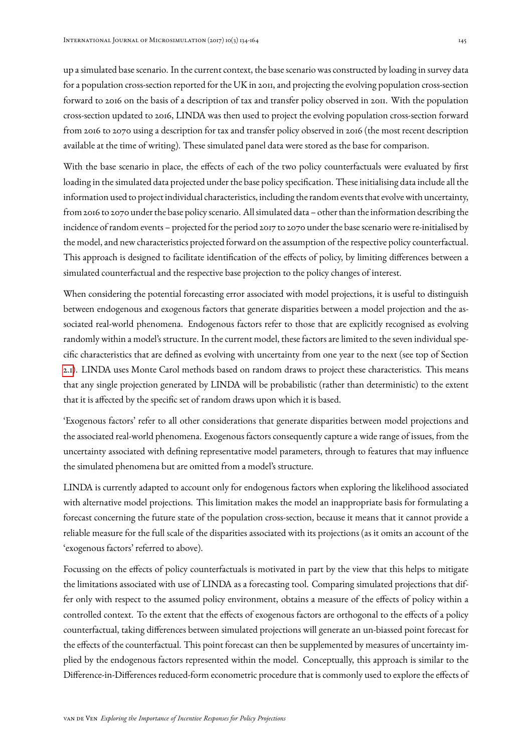up a simulated base scenario. In the current context, the base scenario was constructed by loading in survey data for a population cross-section reported for the UK in 2011, and projecting the evolving population cross-section forward to 2016 on the basis of a description of tax and transfer policy observed in 2011. With the population cross-section updated to 2016, LINDA was then used to project the evolving population cross-section forward from 2016 to 2070 using a description for tax and transfer policy observed in 2016 (the most recent description available at the time of writing). These simulated panel data were stored as the base for comparison.

With the base scenario in place, the effects of each of the two policy counterfactuals were evaluated by first loading in the simulated data projected under the base policy specification. These initialising data include all the information used to project individual characteristics, including the random events that evolve with uncertainty, from 2016 to 2070 under the base policy scenario. All simulated data – other than the information describing the incidence of random events – projected for the period 2017 to 2070 under the base scenario were re-initialised by the model, and new characteristics projected forward on the assumption of the respective policy counterfactual. This approach is designed to facilitate identification of the effects of policy, by limiting differences between a simulated counterfactual and the respective base projection to the policy changes of interest.

When considering the potential forecasting error associated with model projections, it is useful to distinguish between endogenous and exogenous factors that generate disparities between a model projection and the associated real-world phenomena. Endogenous factors refer to those that are explicitly recognised as evolving randomly within a model's structure. In the current model, these factors are limited to the seven individual specific characteristics that are defined as evolving with uncertainty from one year to the next (see top of Section [2.1\)](#page-4-1). LINDA uses Monte Carol methods based on random draws to project these characteristics. This means that any single projection generated by LINDA will be probabilistic (rather than deterministic) to the extent that it is affected by the specific set of random draws upon which it is based.

'Exogenous factors' refer to all other considerations that generate disparities between model projections and the associated real-world phenomena. Exogenous factors consequently capture a wide range of issues, from the uncertainty associated with defining representative model parameters, through to features that may influence the simulated phenomena but are omitted from a model's structure.

LINDA is currently adapted to account only for endogenous factors when exploring the likelihood associated with alternative model projections. This limitation makes the model an inappropriate basis for formulating a forecast concerning the future state of the population cross-section, because it means that it cannot provide a reliable measure for the full scale of the disparities associated with its projections (as it omits an account of the 'exogenous factors' referred to above).

Focussing on the effects of policy counterfactuals is motivated in part by the view that this helps to mitigate the limitations associated with use of LINDA as a forecasting tool. Comparing simulated projections that differ only with respect to the assumed policy environment, obtains a measure of the effects of policy within a controlled context. To the extent that the effects of exogenous factors are orthogonal to the effects of a policy counterfactual, taking differences between simulated projections will generate an un-biassed point forecast for the effects of the counterfactual. This point forecast can then be supplemented by measures of uncertainty implied by the endogenous factors represented within the model. Conceptually, this approach is similar to the Difference-in-Differences reduced-form econometric procedure that is commonly used to explore the effects of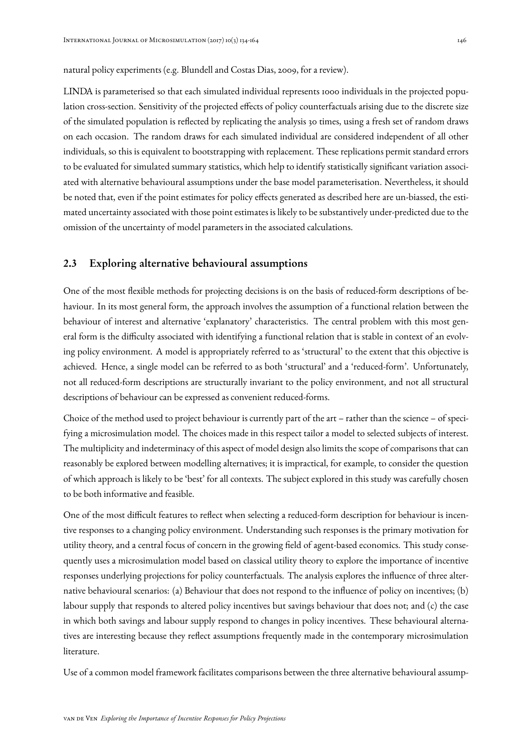#### natural policy experiments (e.g. Blundell and Costas Dias, 2009, for a review).

LINDA is parameterised so that each simulated individual represents 1000 individuals in the projected population cross-section. Sensitivity of the projected effects of policy counterfactuals arising due to the discrete size of the simulated population is reflected by replicating the analysis 30 times, using a fresh set of random draws on each occasion. The random draws for each simulated individual are considered independent of all other individuals, so this is equivalent to bootstrapping with replacement. These replications permit standard errors to be evaluated for simulated summary statistics, which help to identify statistically significant variation associated with alternative behavioural assumptions under the base model parameterisation. Nevertheless, it should be noted that, even if the point estimates for policy effects generated as described here are un-biassed, the estimated uncertainty associated with those point estimates is likely to be substantively under-predicted due to the omission of the uncertainty of model parameters in the associated calculations.

## <span id="page-12-0"></span>2.3 Exploring alternative behavioural assumptions

One of the most flexible methods for projecting decisions is on the basis of reduced-form descriptions of behaviour. In its most general form, the approach involves the assumption of a functional relation between the behaviour of interest and alternative 'explanatory' characteristics. The central problem with this most general form is the difficulty associated with identifying a functional relation that is stable in context of an evolving policy environment. A model is appropriately referred to as 'structural' to the extent that this objective is achieved. Hence, a single model can be referred to as both 'structural' and a 'reduced-form'. Unfortunately, not all reduced-form descriptions are structurally invariant to the policy environment, and not all structural descriptions of behaviour can be expressed as convenient reduced-forms.

Choice of the method used to project behaviour is currently part of the art – rather than the science – of specifying a microsimulation model. The choices made in this respect tailor a model to selected subjects of interest. The multiplicity and indeterminacy of this aspect of model design also limits the scope of comparisons that can reasonably be explored between modelling alternatives; it is impractical, for example, to consider the question of which approach is likely to be 'best' for all contexts. The subject explored in this study was carefully chosen to be both informative and feasible.

One of the most difficult features to reflect when selecting a reduced-form description for behaviour is incentive responses to a changing policy environment. Understanding such responses is the primary motivation for utility theory, and a central focus of concern in the growing field of agent-based economics. This study consequently uses a microsimulation model based on classical utility theory to explore the importance of incentive responses underlying projections for policy counterfactuals. The analysis explores the influence of three alternative behavioural scenarios: (a) Behaviour that does not respond to the influence of policy on incentives; (b) labour supply that responds to altered policy incentives but savings behaviour that does not; and (c) the case in which both savings and labour supply respond to changes in policy incentives. These behavioural alternatives are interesting because they reflect assumptions frequently made in the contemporary microsimulation literature.

Use of a common model framework facilitates comparisons between the three alternative behavioural assump-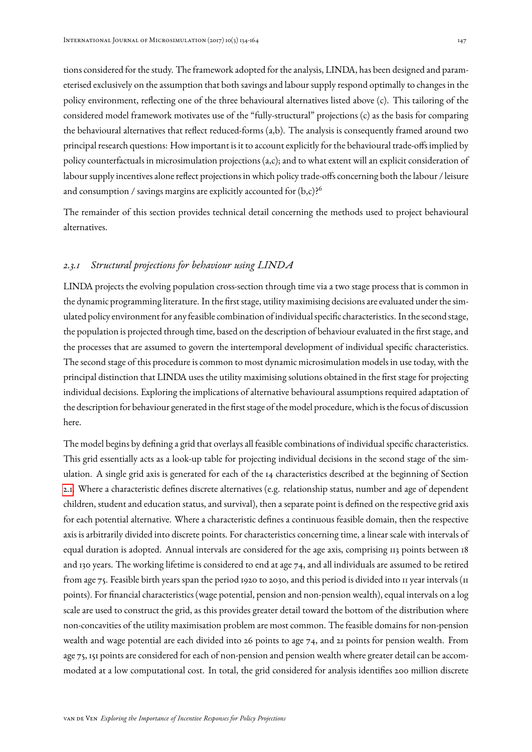tions considered for the study. The framework adopted for the analysis, LINDA, has been designed and parameterised exclusively on the assumption that both savings and labour supply respond optimally to changes in the policy environment, reflecting one of the three behavioural alternatives listed above (c). This tailoring of the considered model framework motivates use of the "fully-structural" projections (c) as the basis for comparing the behavioural alternatives that reflect reduced-forms (a,b). The analysis is consequently framed around two principal research questions: How important is it to account explicitly for the behavioural trade-offs implied by policy counterfactuals in microsimulation projections (a,c); and to what extent will an explicit consideration of labour supply incentives alone reflect projections in which policy trade-offs concerning both the labour / leisure and consumption / savings margins are explicitly accounted for  $(b,c)$ ?<sup>6</sup>

The remainder of this section provides technical detail concerning the methods used to project behavioural alternatives.

### <span id="page-13-0"></span>*2.3.1 Structural projections for behaviour using LINDA*

LINDA projects the evolving population cross-section through time via a two stage process that is common in the dynamic programming literature. In the first stage, utility maximising decisions are evaluated under the simulated policy environment for any feasible combination of individual specific characteristics. In the second stage, the population is projected through time, based on the description of behaviour evaluated in the first stage, and the processes that are assumed to govern the intertemporal development of individual specific characteristics. The second stage of this procedure is common to most dynamic microsimulation models in use today, with the principal distinction that LINDA uses the utility maximising solutions obtained in the first stage for projecting individual decisions. Exploring the implications of alternative behavioural assumptions required adaptation of the description for behaviour generated in the first stage of the model procedure, which is the focus of discussion here.

The model begins by defining a grid that overlays all feasible combinations of individual specific characteristics. This grid essentially acts as a look-up table for projecting individual decisions in the second stage of the simulation. A single grid axis is generated for each of the 14 characteristics described at the beginning of Section [2.1.](#page-4-1) Where a characteristic defines discrete alternatives (e.g. relationship status, number and age of dependent children, student and education status, and survival), then a separate point is defined on the respective grid axis for each potential alternative. Where a characteristic defines a continuous feasible domain, then the respective axis is arbitrarily divided into discrete points. For characteristics concerning time, a linear scale with intervals of equal duration is adopted. Annual intervals are considered for the age axis, comprising 113 points between 18 and 130 years. The working lifetime is considered to end at age 74, and all individuals are assumed to be retired from age 75. Feasible birth years span the period 1920 to 2030, and this period is divided into 11 year intervals (11 points). For financial characteristics (wage potential, pension and non-pension wealth), equal intervals on a log scale are used to construct the grid, as this provides greater detail toward the bottom of the distribution where non-concavities of the utility maximisation problem are most common. The feasible domains for non-pension wealth and wage potential are each divided into 26 points to age 74, and 21 points for pension wealth. From age 75, 151 points are considered for each of non-pension and pension wealth where greater detail can be accommodated at a low computational cost. In total, the grid considered for analysis identifies 200 million discrete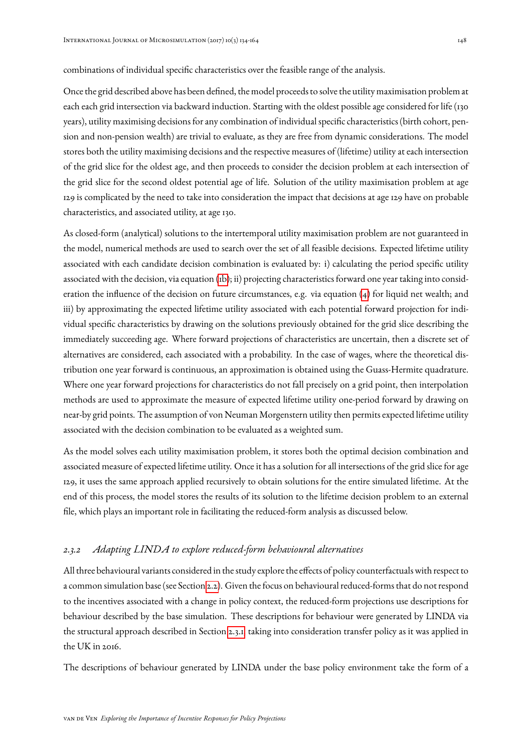combinations of individual specific characteristics over the feasible range of the analysis.

Once the grid described above has been defined, the model proceeds to solve the utility maximisation problem at each each grid intersection via backward induction. Starting with the oldest possible age considered for life (130 years), utility maximising decisions for any combination of individual specific characteristics (birth cohort, pension and non-pension wealth) are trivial to evaluate, as they are free from dynamic considerations. The model stores both the utility maximising decisions and the respective measures of (lifetime) utility at each intersection of the grid slice for the oldest age, and then proceeds to consider the decision problem at each intersection of the grid slice for the second oldest potential age of life. Solution of the utility maximisation problem at age 129 is complicated by the need to take into consideration the impact that decisions at age 129 have on probable characteristics, and associated utility, at age 130.

As closed-form (analytical) solutions to the intertemporal utility maximisation problem are not guaranteed in the model, numerical methods are used to search over the set of all feasible decisions. Expected lifetime utility associated with each candidate decision combination is evaluated by: i) calculating the period specific utility associated with the decision, via equation [\(1b\)](#page-5-1); ii) projecting characteristics forward one year taking into consideration the influence of the decision on future circumstances, e.g. via equation [\(4\)](#page-7-0) for liquid net wealth; and iii) by approximating the expected lifetime utility associated with each potential forward projection for individual specific characteristics by drawing on the solutions previously obtained for the grid slice describing the immediately succeeding age. Where forward projections of characteristics are uncertain, then a discrete set of alternatives are considered, each associated with a probability. In the case of wages, where the theoretical distribution one year forward is continuous, an approximation is obtained using the Guass-Hermite quadrature. Where one year forward projections for characteristics do not fall precisely on a grid point, then interpolation methods are used to approximate the measure of expected lifetime utility one-period forward by drawing on near-by grid points. The assumption of von Neuman Morgenstern utility then permits expected lifetime utility associated with the decision combination to be evaluated as a weighted sum.

As the model solves each utility maximisation problem, it stores both the optimal decision combination and associated measure of expected lifetime utility. Once it has a solution for all intersections of the grid slice for age 129, it uses the same approach applied recursively to obtain solutions for the entire simulated lifetime. At the end of this process, the model stores the results of its solution to the lifetime decision problem to an external file, which plays an important role in facilitating the reduced-form analysis as discussed below.

#### *2.3.2 Adapting LINDA to explore reduced-form behavioural alternatives*

All three behavioural variants considered in the study explore the effects of policy counterfactuals with respect to a common simulation base (see Section [2.2\)](#page-10-0). Given the focus on behavioural reduced-forms that do not respond to the incentives associated with a change in policy context, the reduced-form projections use descriptions for behaviour described by the base simulation. These descriptions for behaviour were generated by LINDA via the structural approach described in Section [2.3.1,](#page-13-0) taking into consideration transfer policy as it was applied in the UK in 2016.

The descriptions of behaviour generated by LINDA under the base policy environment take the form of a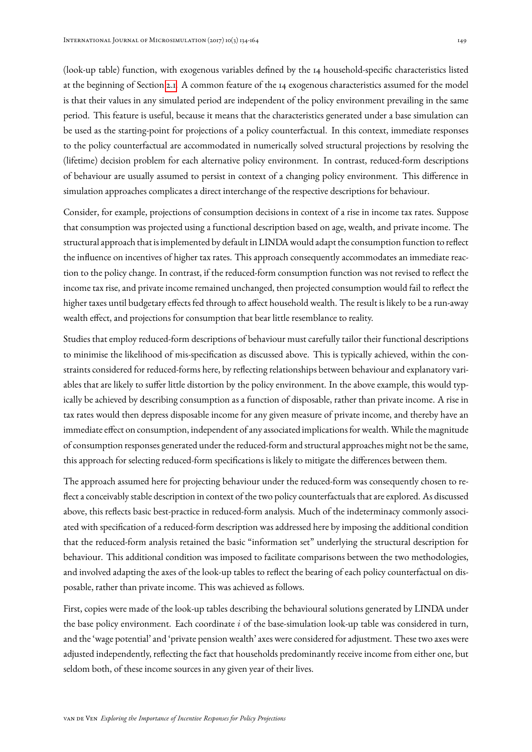(look-up table) function, with exogenous variables defined by the 14 household-specific characteristics listed at the beginning of Section [2.1.](#page-4-1) A common feature of the 14 exogenous characteristics assumed for the model is that their values in any simulated period are independent of the policy environment prevailing in the same period. This feature is useful, because it means that the characteristics generated under a base simulation can be used as the starting-point for projections of a policy counterfactual. In this context, immediate responses to the policy counterfactual are accommodated in numerically solved structural projections by resolving the (lifetime) decision problem for each alternative policy environment. In contrast, reduced-form descriptions of behaviour are usually assumed to persist in context of a changing policy environment. This difference in simulation approaches complicates a direct interchange of the respective descriptions for behaviour.

Consider, for example, projections of consumption decisions in context of a rise in income tax rates. Suppose that consumption was projected using a functional description based on age, wealth, and private income. The structural approach that is implemented by default in LINDA would adapt the consumption function to reflect the influence on incentives of higher tax rates. This approach consequently accommodates an immediate reaction to the policy change. In contrast, if the reduced-form consumption function was not revised to reflect the income tax rise, and private income remained unchanged, then projected consumption would fail to reflect the higher taxes until budgetary effects fed through to affect household wealth. The result is likely to be a run-away wealth effect, and projections for consumption that bear little resemblance to reality.

Studies that employ reduced-form descriptions of behaviour must carefully tailor their functional descriptions to minimise the likelihood of mis-specification as discussed above. This is typically achieved, within the constraints considered for reduced-forms here, by reflecting relationships between behaviour and explanatory variables that are likely to suffer little distortion by the policy environment. In the above example, this would typically be achieved by describing consumption as a function of disposable, rather than private income. A rise in tax rates would then depress disposable income for any given measure of private income, and thereby have an immediate effect on consumption, independent of any associated implications for wealth. While the magnitude of consumption responses generated under the reduced-form and structural approaches might not be the same, this approach for selecting reduced-form specifications is likely to mitigate the differences between them.

The approach assumed here for projecting behaviour under the reduced-form was consequently chosen to reflect a conceivably stable description in context of the two policy counterfactuals that are explored. As discussed above, this reflects basic best-practice in reduced-form analysis. Much of the indeterminacy commonly associated with specification of a reduced-form description was addressed here by imposing the additional condition that the reduced-form analysis retained the basic "information set" underlying the structural description for behaviour. This additional condition was imposed to facilitate comparisons between the two methodologies, and involved adapting the axes of the look-up tables to reflect the bearing of each policy counterfactual on disposable, rather than private income. This was achieved as follows.

First, copies were made of the look-up tables describing the behavioural solutions generated by LINDA under the base policy environment. Each coordinate  $i$  of the base-simulation look-up table was considered in turn, and the 'wage potential' and 'private pension wealth' axes were considered for adjustment. These two axes were adjusted independently, reflecting the fact that households predominantly receive income from either one, but seldom both, of these income sources in any given year of their lives.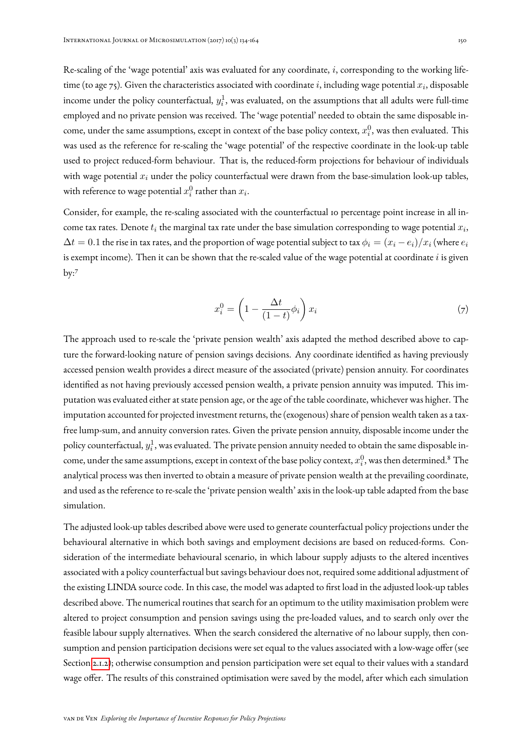Re-scaling of the 'wage potential' axis was evaluated for any coordinate, i, corresponding to the working lifetime (to age 75). Given the characteristics associated with coordinate i, including wage potential  $x_i$ , disposable income under the policy counterfactual,  $y_i^1$ , was evaluated, on the assumptions that all adults were full-time employed and no private pension was received. The 'wage potential' needed to obtain the same disposable income, under the same assumptions, except in context of the base policy context,  $x_i^0$ , was then evaluated. This was used as the reference for re-scaling the 'wage potential' of the respective coordinate in the look-up table used to project reduced-form behaviour. That is, the reduced-form projections for behaviour of individuals with wage potential  $x_i$  under the policy counterfactual were drawn from the base-simulation look-up tables, with reference to wage potential  $x_i^0$  rather than  $x_i$ .

Consider, for example, the re-scaling associated with the counterfactual 10 percentage point increase in all income tax rates. Denote  $t_i$  the marginal tax rate under the base simulation corresponding to wage potential  $x_i,$  $\Delta t = 0.1$  the rise in tax rates, and the proportion of wage potential subject to tax  $\phi_i = (x_i - e_i)/x_i$  (where  $e_i$ is exempt income). Then it can be shown that the re-scaled value of the wage potential at coordinate  $i$  is given by:<sup>7</sup>

$$
x_i^0 = \left(1 - \frac{\Delta t}{(1-t)}\phi_i\right)x_i\tag{7}
$$

The approach used to re-scale the 'private pension wealth' axis adapted the method described above to capture the forward-looking nature of pension savings decisions. Any coordinate identified as having previously accessed pension wealth provides a direct measure of the associated (private) pension annuity. For coordinates identified as not having previously accessed pension wealth, a private pension annuity was imputed. This imputation was evaluated either at state pension age, or the age of the table coordinate, whichever was higher. The imputation accounted for projected investment returns, the (exogenous) share of pension wealth taken as a taxfree lump-sum, and annuity conversion rates. Given the private pension annuity, disposable income under the policy counterfactual,  $y_i^1$ , was evaluated. The private pension annuity needed to obtain the same disposable income, under the same assumptions, except in context of the base policy context,  $x_i^0$ , was then determined. $^8$  The analytical process was then inverted to obtain a measure of private pension wealth at the prevailing coordinate, and used as the reference to re-scale the 'private pension wealth' axis in the look-up table adapted from the base simulation.

The adjusted look-up tables described above were used to generate counterfactual policy projections under the behavioural alternative in which both savings and employment decisions are based on reduced-forms. Consideration of the intermediate behavioural scenario, in which labour supply adjusts to the altered incentives associated with a policy counterfactual but savings behaviour does not, required some additional adjustment of the existing LINDA source code. In this case, the model was adapted to first load in the adjusted look-up tables described above. The numerical routines that search for an optimum to the utility maximisation problem were altered to project consumption and pension savings using the pre-loaded values, and to search only over the feasible labour supply alternatives. When the search considered the alternative of no labour supply, then consumption and pension participation decisions were set equal to the values associated with a low-wage offer (see Section [2.1.2\)](#page-6-1); otherwise consumption and pension participation were set equal to their values with a standard wage offer. The results of this constrained optimisation were saved by the model, after which each simulation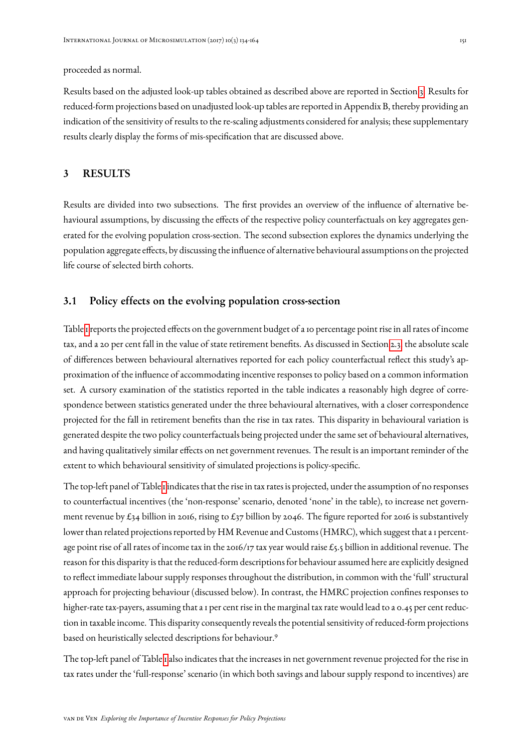proceeded as normal.

Results based on the adjusted look-up tables obtained as described above are reported in Section [3.](#page-17-0) Results for reduced-form projections based on unadjusted look-up tables are reported in Appendix B, thereby providing an indication of the sensitivity of results to the re-scaling adjustments considered for analysis; these supplementary results clearly display the forms of mis-specification that are discussed above.

## <span id="page-17-0"></span>3 RESULTS

Results are divided into two subsections. The first provides an overview of the influence of alternative behavioural assumptions, by discussing the effects of the respective policy counterfactuals on key aggregates generated for the evolving population cross-section. The second subsection explores the dynamics underlying the population aggregate effects, by discussing the influence of alternative behavioural assumptions on the projected life course of selected birth cohorts.

## <span id="page-17-1"></span>3.1 Policy effects on the evolving population cross-section

Table [1](#page-18-0) reports the projected effects on the government budget of a 10 percentage point rise in all rates of income tax, and a 20 per cent fall in the value of state retirement benefits. As discussed in Section [2.3,](#page-12-0) the absolute scale of differences between behavioural alternatives reported for each policy counterfactual reflect this study's approximation of the influence of accommodating incentive responses to policy based on a common information set. A cursory examination of the statistics reported in the table indicates a reasonably high degree of correspondence between statistics generated under the three behavioural alternatives, with a closer correspondence projected for the fall in retirement benefits than the rise in tax rates. This disparity in behavioural variation is generated despite the two policy counterfactuals being projected under the same set of behavioural alternatives, and having qualitatively similar effects on net government revenues. The result is an important reminder of the extent to which behavioural sensitivity of simulated projections is policy-specific.

The top-left panel of Table [1](#page-18-0) indicates that the rise in tax rates is projected, under the assumption of no responses to counterfactual incentives (the 'non-response' scenario, denoted 'none' in the table), to increase net government revenue by £34 billion in 2016, rising to £37 billion by 2046. The figure reported for 2016 is substantively lower than related projections reported by HM Revenue and Customs (HMRC), which suggest that a 1 percentage point rise of all rates of income tax in the 2016/17 tax year would raise £5.5 billion in additional revenue. The reason for this disparity is that the reduced-form descriptions for behaviour assumed here are explicitly designed to reflect immediate labour supply responses throughout the distribution, in common with the 'full' structural approach for projecting behaviour (discussed below). In contrast, the HMRC projection confines responses to higher-rate tax-payers, assuming that a 1 per cent rise in the marginal tax rate would lead to a 0.45 per cent reduction in taxable income. This disparity consequently reveals the potential sensitivity of reduced-form projections based on heuristically selected descriptions for behaviour.<sup>9</sup>

The top-left panel of Table [1](#page-18-0) also indicates that the increases in net government revenue projected for the rise in tax rates under the 'full-response' scenario (in which both savings and labour supply respond to incentives) are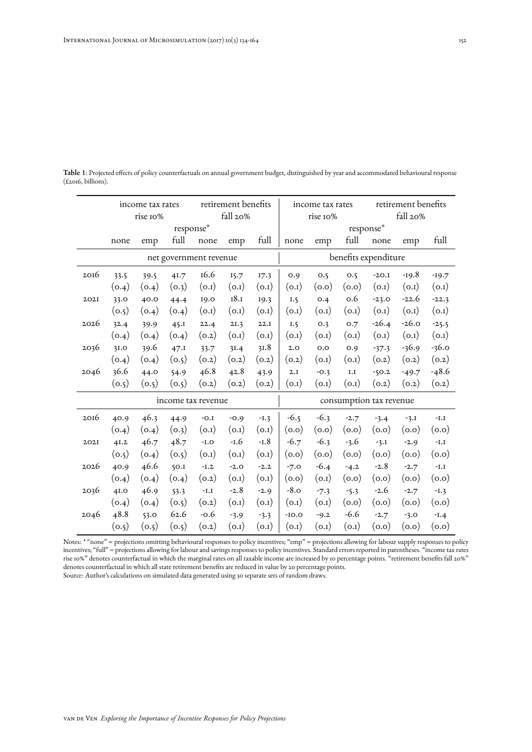<span id="page-18-0"></span>Table 1: Projected effects of policy counterfactuals on annual government budget, distinguished by year and accommodated behavioural response  $(\text{\textsterling}2016, \text{billions}).$ 

|                        | income tax rates |       |       | retirement benefits |        |        |                         | income tax rates |              |          | retirement benefits |         |  |
|------------------------|------------------|-------|-------|---------------------|--------|--------|-------------------------|------------------|--------------|----------|---------------------|---------|--|
|                        | rise 10%         |       |       | fall 20%            |        |        | rise 10%                |                  |              | fall 20% |                     |         |  |
|                        | response*        |       |       |                     |        |        | response*               |                  |              |          |                     |         |  |
|                        | none             | emp   | full  | none                | emp    | full   | none                    | emp              | full         | none     | emp                 | full    |  |
| net government revenue |                  |       |       |                     |        |        | benefits expenditure    |                  |              |          |                     |         |  |
| 2016                   | 33.5             | 39.5  | 41.7  | 16.6                | 15.7   | 17.3   | 0.9                     | 0.5              | 0.5          | $-20.1$  | $-19.8$             | $-19.7$ |  |
|                        | (0.4)            | (0.4) | (o.3) | (0.1)               | (0.1)  | (0.1)  | (0.1)                   | (0.0)            | (0.0)        | (0.1)    | (0.1)               | (0.1)   |  |
| 202I                   | 33.0             | 40.0  | 44.4  | 19.0                | 18.1   | 19.3   | I.5                     | 0.4              | 0.6          | $-23.0$  | $-22.6$             | $-22.3$ |  |
|                        | (o.5)            | (0.4) | (0.4) | (0.1)               | (0.1)  | (0.1)  | (0.1)                   | (0.1)            | (0.1)        | (0.1)    | (0.1)               | (0.1)   |  |
| 2026                   | 32.4             | 39.9  | 45.1  | 22.4                | 2I.3   | 22.1   | I.5                     | O.3              | 0.7          | $-26.4$  | $-26.0$             | $-25.5$ |  |
|                        | (0.4)            | (0.4) | (0.4) | (0.2)               | (0.1)  | (0.1)  | (0.1)                   | (0.1)            | (0.1)        | (0.1)    | (0.1)               | (0.1)   |  |
| 2036                   | 3I.0             | 39.6  | 47.1  | 33.7                | 3I.4   | 31.8   | 2.0                     | 0.0              | 0.9          | $-37.3$  | $-36.9$             | $-36.0$ |  |
|                        | (0.4)            | (0.4) | (o.5) | (0.2)               | (0.2)  | (0.2)  | (0.2)                   | (0.1)            | (0.1)        | (0.2)    | (0.2)               | (0.2)   |  |
| 2046                   | 36.6             | 44.0  | 54.9  | 46.8                | 42.8   | 43.9   | 2.I                     | $-0.3$           | ${\bf I. I}$ | $-50.2$  | $-49.7$             | $-48.6$ |  |
|                        | (o.5)            | (o.5) | (o.5) | (o.2)               | (0.2)  | (o.2)  | (0.1)                   | (0.1)            | (0.1)        | (0.2)    | (0.2)               | (0.2)   |  |
|                        |                  |       |       | income tax revenue  |        |        | consumption tax revenue |                  |              |          |                     |         |  |
| 2016                   | 40.9             | 46.3  | 44.9  | $-0.1$              | $-0.9$ | $-I.3$ | $-6.5$                  | $-6.3$           | $-2.7$       | $-3.4$   | $-3.1$              | $-I.I$  |  |
|                        | (0.4)            | (0.4) | (0.3) | (0.1)               | (0.1)  | (0.1)  | (0.0)                   | (0.0)            | (0.0)        | (0.0)    | (0.0)               | (0.0)   |  |
| 202I                   | 41.2             | 46.7  | 48.7  | $-1.0$              | $-1.6$ | $-L.8$ | $-6.7$                  | $-6.3$           | $-3.6$       | $-3.1$   | $-2.9$              | I.I     |  |
|                        | (0.5)            | (0.4) | (o.5) | (0.1)               | (0.1)  | (0.1)  | (0.0)                   | (0.0)            | (0.0)        | (0.0)    | (0.0)               | (0.0)   |  |
| 2026                   | 40.9             | 46.6  | 50.1  | $-L.2$              | $-2.0$ | $-2.2$ | $-7.0$                  | $-6.4$           | $-4.2$       | $-2.8$   | $-2.7$              | $-I.I$  |  |
|                        | (0.4)            | (0.4) | (0.4) | (0.2)               | (0.1)  | (0.1)  | (0.0)                   | (0.1)            | (0.0)        | (0.0)    | (0.0)               | (0.0)   |  |
| 2036                   | 4I.O             | 46.9  | 53.3  | $-I.I$              | $-2.8$ | $-2.9$ | $-8.0$                  | $-7.3$           | $-5.3$       | $-2.6$   | $-2.7$              | $-I.3$  |  |
|                        | (0.4)            | (0.4) | (o.5) | (0.2)               | (0.1)  | (0.1)  | (0.1)                   | (0.1)            | (0.0)        | (0.0)    | (0.0)               | (0.0)   |  |
| 2046                   | 48.8             | 53.0  | 62.6  | $-0.6$              | $-3.9$ | $-3.3$ | $-IO.0$                 | $-9.2$           | $-6.6$       | $-2.7$   | $-3.0$              | $-1.4$  |  |
|                        | (0.5)            | (0.5) | (0.5) | (0.2)               | (0.1)  | (0.1)  | (0.1)                   | (0.1)            | (0.1)        | (0.0)    | (0.0)               | (0.0)   |  |

Notes: \* "none" = projections omitting behavioural responses to policy incentives; "emp" = projections allowing for labour supply responses to policy incentives; "full" = projections allowing for labour and savings responses to policy incentives. Standard errors reported in parentheses. "income tax rates rise 10%" denotes counterfactual in which the marginal rates on all taxable income are increased by 10 percentage points. "retirement benefits fall 20%" denotes counterfactual in which all state retirement benefits are reduced in value by 20 percentage points.

Source: Author's calculations on simulated data generated using 30 separate sets of random draws.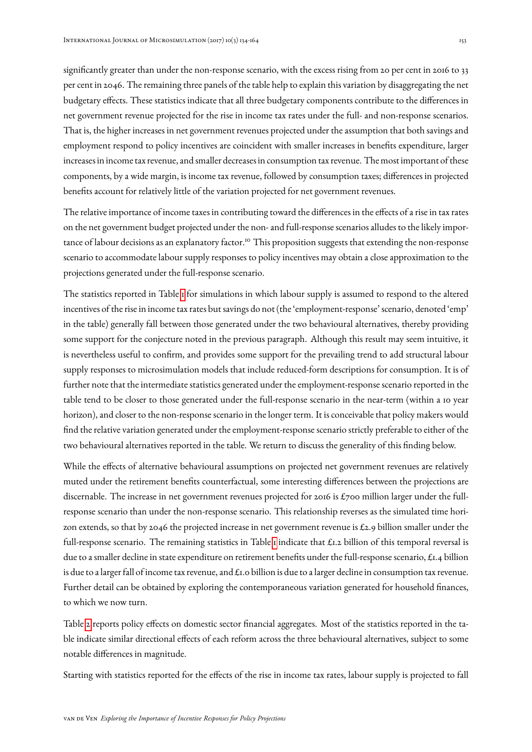significantly greater than under the non-response scenario, with the excess rising from 20 per cent in 2016 to 33 per cent in 2046. The remaining three panels of the table help to explain this variation by disaggregating the net budgetary effects. These statistics indicate that all three budgetary components contribute to the differences in net government revenue projected for the rise in income tax rates under the full- and non-response scenarios. That is, the higher increases in net government revenues projected under the assumption that both savings and employment respond to policy incentives are coincident with smaller increases in benefits expenditure, larger increases in income tax revenue, and smaller decreases in consumption tax revenue. The most important of these components, by a wide margin, is income tax revenue, followed by consumption taxes; differences in projected benefits account for relatively little of the variation projected for net government revenues.

The relative importance of income taxes in contributing toward the differences in the effects of a rise in tax rates on the net government budget projected under the non- and full-response scenarios alludes to the likely importance of labour decisions as an explanatory factor.<sup>10</sup> This proposition suggests that extending the non-response scenario to accommodate labour supply responses to policy incentives may obtain a close approximation to the projections generated under the full-response scenario.

The statistics reported in Table [1](#page-18-0) for simulations in which labour supply is assumed to respond to the altered incentives of the rise in income tax rates but savings do not (the 'employment-response' scenario, denoted 'emp' in the table) generally fall between those generated under the two behavioural alternatives, thereby providing some support for the conjecture noted in the previous paragraph. Although this result may seem intuitive, it is nevertheless useful to confirm, and provides some support for the prevailing trend to add structural labour supply responses to microsimulation models that include reduced-form descriptions for consumption. It is of further note that the intermediate statistics generated under the employment-response scenario reported in the table tend to be closer to those generated under the full-response scenario in the near-term (within a 10 year horizon), and closer to the non-response scenario in the longer term. It is conceivable that policy makers would find the relative variation generated under the employment-response scenario strictly preferable to either of the two behavioural alternatives reported in the table. We return to discuss the generality of this finding below.

While the effects of alternative behavioural assumptions on projected net government revenues are relatively muted under the retirement benefits counterfactual, some interesting differences between the projections are discernable. The increase in net government revenues projected for 2016 is £700 million larger under the fullresponse scenario than under the non-response scenario. This relationship reverses as the simulated time horizon extends, so that by 2046 the projected increase in net government revenue is £2.9 billion smaller under the full-response scenario. The remaining statistics in Table [1](#page-18-0) indicate that  $\pounds$ 1.2 billion of this temporal reversal is due to a smaller decline in state expenditure on retirement benefits under the full-response scenario,  $\pounds_{1.4}$  billion is due to a larger fall of income tax revenue, and  $\pounds$ 1.0 billion is due to a larger decline in consumption tax revenue. Further detail can be obtained by exploring the contemporaneous variation generated for household finances, to which we now turn.

Table [2](#page-20-0) reports policy effects on domestic sector financial aggregates. Most of the statistics reported in the table indicate similar directional effects of each reform across the three behavioural alternatives, subject to some notable differences in magnitude.

Starting with statistics reported for the effects of the rise in income tax rates, labour supply is projected to fall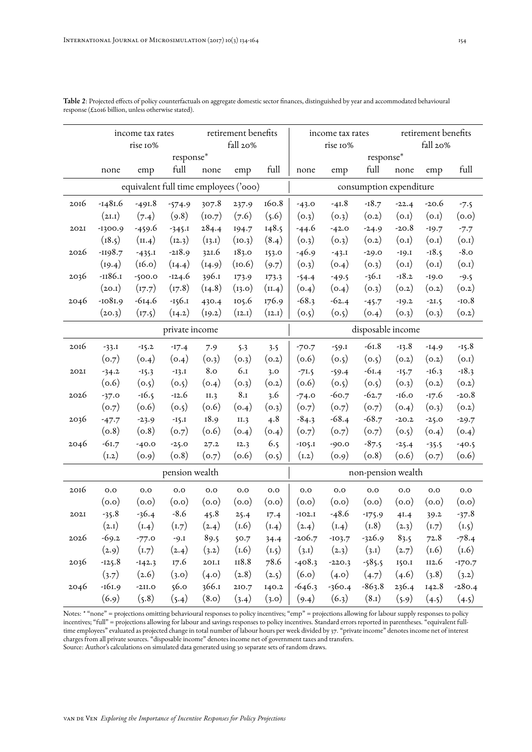|                | income tax rates                      |          | retirement benefits |                  |         | income tax rates |                    |                         | retirement benefits |         |         |          |  |
|----------------|---------------------------------------|----------|---------------------|------------------|---------|------------------|--------------------|-------------------------|---------------------|---------|---------|----------|--|
|                | rise 10%                              |          |                     | fall 20%         |         | rise 10%         |                    |                         | fall 20%            |         |         |          |  |
|                | response*                             |          |                     |                  |         |                  |                    | response*               |                     |         |         |          |  |
|                | none                                  | emp      | full                | none             | emp     | full             | none               | emp                     | full                | none    | emp     | full     |  |
|                | equivalent full time employees ('000) |          |                     |                  |         |                  |                    | consumption expenditure |                     |         |         |          |  |
| 2016           | $-1481.6$                             | $-491.8$ | $-574.9$            | 307.8            | 237.9   | 160.8            | $-43.0$            | $-41.8$                 | $-18.7$             | $-22.4$ | $-20.6$ | $-7.5$   |  |
|                | (2I.1)                                | (7.4)    | (9.8)               | (10.7)           | (7.6)   | (5.6)            | (0.3)              | (0.3)                   | (0.2)               | (0.1)   | (0.1)   | (0.0)    |  |
| 202I           | -1300.9                               | -459.6   | $-345.1$            | 284.4            | 194.7   | 148.5            | -44.6              | $-42.0$                 | $-24.9$             | $-20.8$ | $-19.7$ | $-7.7$   |  |
|                | (18.5)                                | (II.4)   | (12.3)              | (13.1)           | (10.3)  | (8.4)            | (0.3)              | (0.3)                   | (0.2)               | (0.1)   | (0.1)   | (0.1)    |  |
| 2026           | $-1198.7$                             | $-435.1$ | $-218.9$            | 321.6            | 183.0   | 153.0            | $-46.9$            | $-43.1$                 | $-29.0$             | $-19.1$ | $-18.5$ | $-8.0$   |  |
|                | (19.4)                                | (16.0)   | (14.4)              | (14.9)           | (10.6)  | (9.7)            | (0.3)              | (o.4)                   | (0.3)               | (0.1)   | (0.1)   | (0.1)    |  |
| 2036           | -1186.1                               | $-500.0$ | $-124.6$            | 396.1            | 173.9   | 173.3            | $-54.4$            | $-49.5$                 | $-36.1$             | $-18.2$ | $-19.0$ | $-9.5$   |  |
|                | (20.1)                                | (17.7)   | (17.8)              | (14.8)           | (13.0)  | (II.4)           | (0.4)              | (0.4)                   | (0.3)               | (0.2)   | (0.2)   | (0.2)    |  |
| 2046           | $-1081.9$                             | $-614.6$ | $-156.1$            | 430.4            | 105.6   | 176.9            | $-68.3$            | $-62.4$                 | $-45.7$             | $-19.2$ | $-21.5$ | $-10.8$  |  |
|                | (20.3)                                | (17.5)   | (14.2)              | (19.2)           | (12.1)  | (12.1)           | (0.5)              | (0.5)                   | (0.4)               | (o.3)   | (0.3)   | (0.2)    |  |
| private income |                                       |          |                     |                  |         |                  | disposable income  |                         |                     |         |         |          |  |
| 2016           | $-33.1$                               | $-15.2$  | $-17.4$             | 7.9              | 5.3     | 3.5              | $-70.7$            | $-59.1$                 | $-61.8$             | $-13.8$ | $-14.9$ | $-15.8$  |  |
|                | (o.7)                                 | (0.4)    | (0.4)               | (o.3)            | (0.3)   | (0.2)            | (0.6)              | (0.5)                   | (o.5)               | (0.2)   | (0.2)   | (0.1)    |  |
| 202I           | $-34.2$                               | $-15.3$  | $-13.1$             | 8.0              | 6I      | 3.0              | $-71.5$            | $-59.4$                 | $-61.4$             | $-15.7$ | $-16.3$ | $-18.3$  |  |
|                | (0.6)                                 | (0.5)    | (0.5)               | (0.4)            | (0.3)   | (0.2)            | (0.6)              | (0.5)                   | (0.5)               | (0.3)   | (0.2)   | (0.2)    |  |
| 2026           | $-37.0$                               | $-16.5$  | $-12.6$             | II.3             | 8I      | 3.6              | $-74.0$            | $-60.7$                 | $-62.7$             | $-16.0$ | $-17.6$ | $-20.8$  |  |
|                | (0.7)                                 | (0.6)    | (0.5)               | (0.6)            | (0.4)   | (0.3)            | (0.7)              | (0.7)                   | (0.7)               | (0.4)   | (0.3)   | (0.2)    |  |
| 2036           | $-47.7$                               | $-23.9$  | $-15.1$             | 18.9             | II.3    | 4.8              | $-84.3$            | $-68.4$                 | $-68.7$             | $-20.2$ | $-25.0$ | $-29.7$  |  |
|                | (0.8)                                 | (0.8)    | (0.7)               | (0.6)            | (0.4)   | (0.4)            | (0.7)              | (0.7)                   | (o.7)               | (0.5)   | (0.4)   | (o.4)    |  |
| 2046           | $-61.7$                               | $-40.0$  | $-25.0$             | 27.2             | I2.3    | 6.5              | $-IO5.I$           | $-90.0$                 | $-87.5$             | $-25.4$ | $-35.5$ | $-40.5$  |  |
|                | (1.2)                                 | (0.9)    | (0.8)               | (0.7)            | (0.6)   | (0.5)            | (1.2)              | (0.9)                   | (0.8)               | (0.6)   | (0.7)   | (0.6)    |  |
|                |                                       |          | pension wealth      |                  |         |                  | non-pension wealth |                         |                     |         |         |          |  |
| 2016           | 0.0                                   | 0.0      | $_{\rm 0.0}$        | $_{\rm 0.0}$     | O.O     | 0.0              | $_{0.0}$           | 0.0                     | $_{\rm 0.0}$        | 0.0     | 0.0     | 0.0      |  |
|                | (0.0)                                 | (0.0)    | (0.0)               | (0.0)            | (0.0)   | (0.0)            | (0.0)              | (0.0)                   | (0.0)               | (0.0)   | (0.0)   | (0.0)    |  |
| 202I           | $-35.8$                               | $-36.4$  | $-8.6$              | 45.8             | 25.4    | 17.4             | $-IO2.I$           | $-48.6$                 | $-175.9$            | 4I.4    | 39.2    | $-37.8$  |  |
|                | (2.1)                                 | (1.4)    | (1.7)               | (2.4)            | (1.6)   | (1.4)            | (2.4)              | (1.4)                   | (1.8)               | (2.3)   | (1.7)   | (I.5)    |  |
| 2026           | $-69.2$                               | $-77.0$  | $-9.1$              | 89.5             | 50.7    | 34.4             | $-206.7$           | $-103.7$                | $-326.9$            | 83.5    | 72.8    | $-78.4$  |  |
|                | (2.9)                                 | (1.7)    | (2.4)               | (3.2)            | (1.6)   | (I.5)            | (3.1)              | (2.3)                   | (3.1)               | (2.7)   | (1.6)   | (1.6)    |  |
| 2036           | $-125.8$                              | $-142.3$ | 17.6                | $2\textrm{O I}.$ | $118.8$ | 78.6             | $-408.3$           | $-220.3$                | $-585.5$            | 150.1   | II2.6   | $-170.7$ |  |
|                | (3.7)                                 | (2.6)    | (3.0)               | (4.0)            | (2.8)   | (2.5)            | (6.0)              | (4.0)                   | (4.7)               | (4.6)   | (3.8)   | (3.2)    |  |
| 2046           | $-161.9$                              | $-2II.0$ | 56.0                | 366.1            | 210.7   | 140.2            | $-646.3$           | $-360.4$                | $-863.8$            | 236.4   | 142.8   | $-280.4$ |  |
|                | (6.9)                                 | (5.8)    | (5.4)               | (8.0)            | (3.4)   | (3.0)            | (9.4)              | (6.3)                   | (8.1)               | (5.9)   | (4.5)   | (4.5)    |  |

<span id="page-20-0"></span>Table 2: Projected effects of policy counterfactuals on aggregate domestic sector finances, distinguished by year and accommodated behavioural response (£2016 billion, unless otherwise stated).

Notes: \* "none" = projections omitting behavioural responses to policy incentives; "emp" = projections allowing for labour supply responses to policy incentives; "full" = projections allowing for labour and savings responses to policy incentives. Standard errors reported in parentheses. "equivalent fulltime employees" evaluated as projected change in total number of labour hours per week divided by 37. "private income" denotes income net of interest charges from all private sources. "disposable income" denotes income net of government taxes and transfers. Source: Author's calculations on simulated data generated using 30 separate sets of random draws.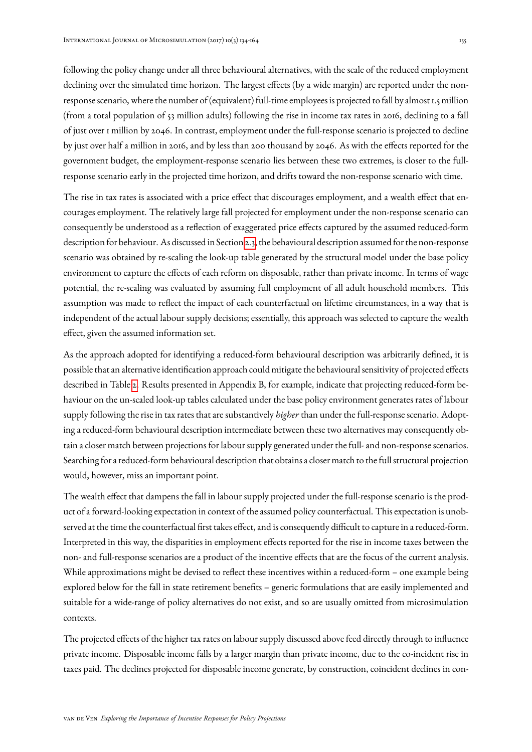following the policy change under all three behavioural alternatives, with the scale of the reduced employment declining over the simulated time horizon. The largest effects (by a wide margin) are reported under the nonresponse scenario, where the number of (equivalent) full-time employees is projected to fall by almost 1.5 million (from a total population of 53 million adults) following the rise in income tax rates in 2016, declining to a fall of just over 1 million by 2046. In contrast, employment under the full-response scenario is projected to decline by just over half a million in 2016, and by less than 200 thousand by 2046. As with the effects reported for the government budget, the employment-response scenario lies between these two extremes, is closer to the fullresponse scenario early in the projected time horizon, and drifts toward the non-response scenario with time.

The rise in tax rates is associated with a price effect that discourages employment, and a wealth effect that encourages employment. The relatively large fall projected for employment under the non-response scenario can consequently be understood as a reflection of exaggerated price effects captured by the assumed reduced-form description for behaviour. As discussed in Section [2.3,](#page-12-0) the behavioural description assumed for the non-response scenario was obtained by re-scaling the look-up table generated by the structural model under the base policy environment to capture the effects of each reform on disposable, rather than private income. In terms of wage potential, the re-scaling was evaluated by assuming full employment of all adult household members. This assumption was made to reflect the impact of each counterfactual on lifetime circumstances, in a way that is independent of the actual labour supply decisions; essentially, this approach was selected to capture the wealth effect, given the assumed information set.

As the approach adopted for identifying a reduced-form behavioural description was arbitrarily defined, it is possible that an alternative identification approach could mitigate the behavioural sensitivity of projected effects described in Table [2.](#page-20-0) Results presented in Appendix B, for example, indicate that projecting reduced-form behaviour on the un-scaled look-up tables calculated under the base policy environment generates rates of labour supply following the rise in tax rates that are substantively *higher* than under the full-response scenario. Adopting a reduced-form behavioural description intermediate between these two alternatives may consequently obtain a closer match between projections for labour supply generated under the full- and non-response scenarios. Searching for a reduced-form behavioural description that obtains a closer match to the full structural projection would, however, miss an important point.

The wealth effect that dampens the fall in labour supply projected under the full-response scenario is the product of a forward-looking expectation in context of the assumed policy counterfactual. This expectation is unobserved at the time the counterfactual first takes effect, and is consequently difficult to capture in a reduced-form. Interpreted in this way, the disparities in employment effects reported for the rise in income taxes between the non- and full-response scenarios are a product of the incentive effects that are the focus of the current analysis. While approximations might be devised to reflect these incentives within a reduced-form – one example being explored below for the fall in state retirement benefits – generic formulations that are easily implemented and suitable for a wide-range of policy alternatives do not exist, and so are usually omitted from microsimulation contexts.

The projected effects of the higher tax rates on labour supply discussed above feed directly through to influence private income. Disposable income falls by a larger margin than private income, due to the co-incident rise in taxes paid. The declines projected for disposable income generate, by construction, coincident declines in con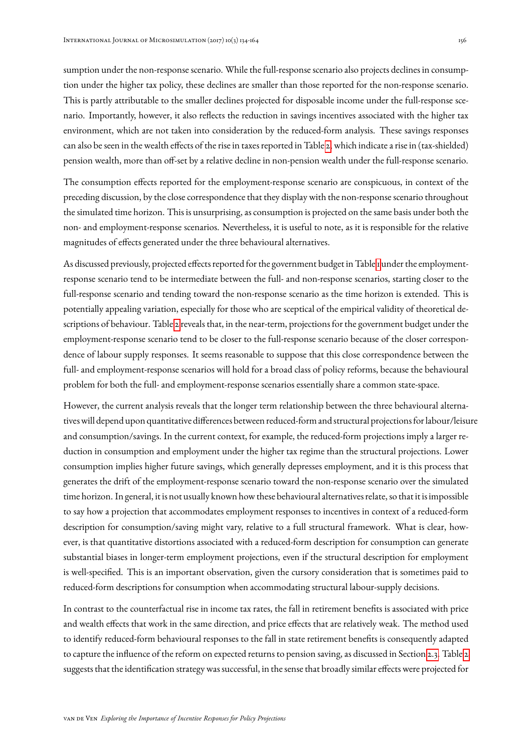sumption under the non-response scenario. While the full-response scenario also projects declines in consumption under the higher tax policy, these declines are smaller than those reported for the non-response scenario. This is partly attributable to the smaller declines projected for disposable income under the full-response scenario. Importantly, however, it also reflects the reduction in savings incentives associated with the higher tax environment, which are not taken into consideration by the reduced-form analysis. These savings responses can also be seen in the wealth effects of the rise in taxes reported in Table [2,](#page-20-0) which indicate a rise in (tax-shielded) pension wealth, more than off-set by a relative decline in non-pension wealth under the full-response scenario.

The consumption effects reported for the employment-response scenario are conspicuous, in context of the preceding discussion, by the close correspondence that they display with the non-response scenario throughout the simulated time horizon. This is unsurprising, as consumption is projected on the same basis under both the non- and employment-response scenarios. Nevertheless, it is useful to note, as it is responsible for the relative magnitudes of effects generated under the three behavioural alternatives.

As discussed previously, projected effects reported for the government budget in Table [1](#page-18-0) under the employmentresponse scenario tend to be intermediate between the full- and non-response scenarios, starting closer to the full-response scenario and tending toward the non-response scenario as the time horizon is extended. This is potentially appealing variation, especially for those who are sceptical of the empirical validity of theoretical descriptions of behaviour. Table [2](#page-20-0) reveals that, in the near-term, projections for the government budget under the employment-response scenario tend to be closer to the full-response scenario because of the closer correspondence of labour supply responses. It seems reasonable to suppose that this close correspondence between the full- and employment-response scenarios will hold for a broad class of policy reforms, because the behavioural problem for both the full- and employment-response scenarios essentially share a common state-space.

However, the current analysis reveals that the longer term relationship between the three behavioural alternativeswill depend upon quantitative differences between reduced-form and structural projections for labour/leisure and consumption/savings. In the current context, for example, the reduced-form projections imply a larger reduction in consumption and employment under the higher tax regime than the structural projections. Lower consumption implies higher future savings, which generally depresses employment, and it is this process that generates the drift of the employment-response scenario toward the non-response scenario over the simulated time horizon. In general, it is not usually known how these behavioural alternatives relate, so that it is impossible to say how a projection that accommodates employment responses to incentives in context of a reduced-form description for consumption/saving might vary, relative to a full structural framework. What is clear, however, is that quantitative distortions associated with a reduced-form description for consumption can generate substantial biases in longer-term employment projections, even if the structural description for employment is well-specified. This is an important observation, given the cursory consideration that is sometimes paid to reduced-form descriptions for consumption when accommodating structural labour-supply decisions.

In contrast to the counterfactual rise in income tax rates, the fall in retirement benefits is associated with price and wealth effects that work in the same direction, and price effects that are relatively weak. The method used to identify reduced-form behavioural responses to the fall in state retirement benefits is consequently adapted to capture the influence of the reform on expected returns to pension saving, as discussed in Section [2.3.](#page-12-0) Table [2](#page-20-0) suggests that the identification strategy was successful, in the sense that broadly similar effects were projected for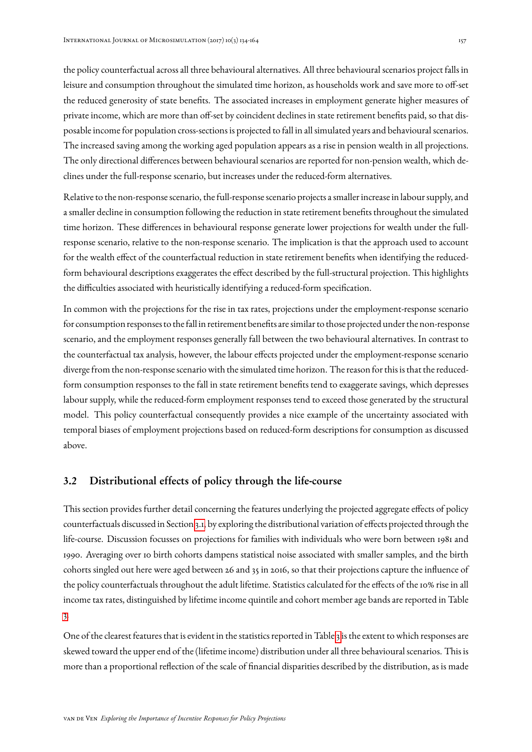the policy counterfactual across all three behavioural alternatives. All three behavioural scenarios project falls in leisure and consumption throughout the simulated time horizon, as households work and save more to off-set the reduced generosity of state benefits. The associated increases in employment generate higher measures of private income, which are more than off-set by coincident declines in state retirement benefits paid, so that disposable income for population cross-sections is projected to fall in all simulated years and behavioural scenarios. The increased saving among the working aged population appears as a rise in pension wealth in all projections. The only directional differences between behavioural scenarios are reported for non-pension wealth, which declines under the full-response scenario, but increases under the reduced-form alternatives.

Relative to the non-response scenario, the full-response scenario projects a smaller increase in labour supply, and a smaller decline in consumption following the reduction in state retirement benefits throughout the simulated time horizon. These differences in behavioural response generate lower projections for wealth under the fullresponse scenario, relative to the non-response scenario. The implication is that the approach used to account for the wealth effect of the counterfactual reduction in state retirement benefits when identifying the reducedform behavioural descriptions exaggerates the effect described by the full-structural projection. This highlights the difficulties associated with heuristically identifying a reduced-form specification.

In common with the projections for the rise in tax rates, projections under the employment-response scenario for consumption responses to the fall in retirement benefits are similar to those projected under the non-response scenario, and the employment responses generally fall between the two behavioural alternatives. In contrast to the counterfactual tax analysis, however, the labour effects projected under the employment-response scenario diverge from the non-response scenario with the simulated time horizon. The reason for this is that the reducedform consumption responses to the fall in state retirement benefits tend to exaggerate savings, which depresses labour supply, while the reduced-form employment responses tend to exceed those generated by the structural model. This policy counterfactual consequently provides a nice example of the uncertainty associated with temporal biases of employment projections based on reduced-form descriptions for consumption as discussed above.

## 3.2 Distributional effects of policy through the life-course

This section provides further detail concerning the features underlying the projected aggregate effects of policy counterfactuals discussed in Section [3.1,](#page-17-1) by exploring the distributional variation of effects projected through the life-course. Discussion focusses on projections for families with individuals who were born between 1981 and 1990. Averaging over 10 birth cohorts dampens statistical noise associated with smaller samples, and the birth cohorts singled out here were aged between 26 and 35 in 2016, so that their projections capture the influence of the policy counterfactuals throughout the adult lifetime. Statistics calculated for the effects of the 10% rise in all income tax rates, distinguished by lifetime income quintile and cohort member age bands are reported in Table [3.](#page-24-0)

One of the clearest features that is evident in the statistics reported in Table [3](#page-24-0) is the extent to which responses are skewed toward the upper end of the (lifetime income) distribution under all three behavioural scenarios. This is more than a proportional reflection of the scale of financial disparities described by the distribution, as is made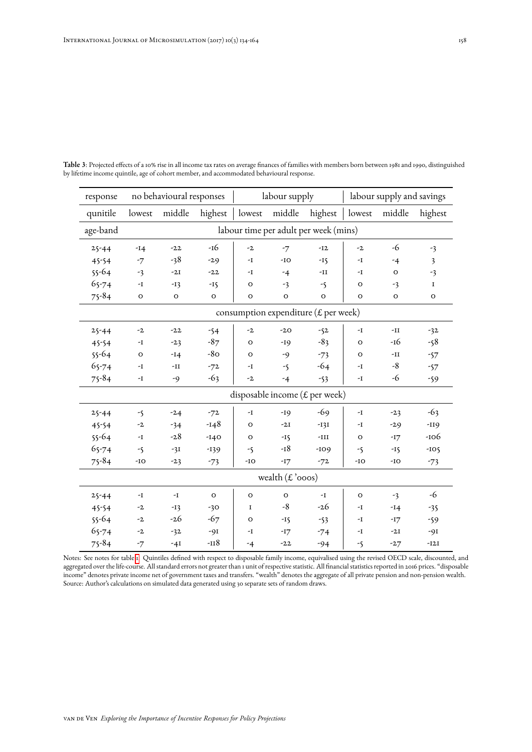| response  |                                               | no behavioural responses |             |               | labour supply      |                                         | labour supply and savings |                |                         |  |
|-----------|-----------------------------------------------|--------------------------|-------------|---------------|--------------------|-----------------------------------------|---------------------------|----------------|-------------------------|--|
| qunitile  | lowest                                        | middle                   | highest     | lowest        | middle             | highest                                 | lowest                    | middle         | highest                 |  |
| age-band  | labour time per adult per week (mins)         |                          |             |               |                    |                                         |                           |                |                         |  |
| $25 - 44$ | $-14$                                         | $-22$                    | -16         | $-2$          | $-7$               | $-12$                                   | $-2$                      | -6             | $-3$                    |  |
| 45-54     | $-7$                                          | $-38$                    | $-29$       | -I            | $-IO$              | $-I\zeta$                               | -1                        | $-4$           | $\overline{\mathbf{3}}$ |  |
| $55 - 64$ | $-3$                                          | $-2I$                    | $-22$       | -I            | $-4$               | -II                                     | -I                        | $\mathbf O$    | $-3$                    |  |
| $65 - 74$ | -I                                            | $-I3$                    | $-15$       | O             | $-3$               | -5                                      | O                         | $-3$           | $\mathbf I$             |  |
| $75 - 84$ | $\mathbf O$                                   | $\mathbf O$              | $\mathbf O$ | o             | $\mathbf O$        | $\mathbf O$                             | o                         | $\mathbf O$    | $\mathbf{o}$            |  |
|           | consumption expenditure ( $\pounds$ per week) |                          |             |               |                    |                                         |                           |                |                         |  |
| $25 - 44$ | $-2$                                          | $-22$                    | $-54$       | $-2$          | $-20$              | $-52$                                   | -1                        | $-II$          | $-32$                   |  |
| 45-54     | -I                                            | $-23$                    | $-87$       | O             | $-19$              | $-83$                                   | O                         | -16            | $-58$                   |  |
| $55 - 64$ | $\circ$                                       | $-14$                    | $-8O$       | $\circ$       | -9                 | $-73$                                   | O                         | $\mathbf{-II}$ | $-57$                   |  |
| $65 - 74$ | -I                                            | -11                      | $-72$       | -I            | $-5$               | -64                                     | -I                        | $-8$           | $-57$                   |  |
| $75 - 84$ | -I                                            | -9                       | $-63$       | $-2$          | $-4$               | $-53$                                   | -1                        | -6             | $-59$                   |  |
|           |                                               |                          |             |               |                    | disposable income ( $\pounds$ per week) |                           |                |                         |  |
| $25 - 44$ | -5                                            | $-2.4$                   | $-72$       | $\mathbf{-I}$ | $-19$              | -69                                     | $-I$                      | $-23$          | $-63$                   |  |
| 45-54     | $-2$                                          | $-34$                    | $-148$      | O             | $-2I$              | $-I3I$                                  | -I                        | $-2.9$         | $-II9$                  |  |
| $55 - 64$ | $-I$                                          | $-28$                    | $-140$      | $\circ$       | $-I\zeta$          | $-III$                                  | $\circ$                   | $-17$          | $-106$                  |  |
| $65 - 74$ | $-5$                                          | $-31$                    | $-139$      | -5            | $-18$              | $-109$                                  | -5                        | $-15$          | $-105$                  |  |
| $75 - 84$ | $-IO$                                         | $-23$                    | $-73$       | -IO           | $-I7$              | $-72$                                   | -IO                       | $-IO$          | $-73$                   |  |
|           |                                               |                          |             |               | wealth $(E'$ ooos) |                                         |                           |                |                         |  |
| $25 - 44$ | -I                                            | $-I$                     | $\circ$     | $\circ$       | $\circ$            | $-I$                                    | $\circ$                   | $-3$           | -6                      |  |
| 45-54     | -2                                            | $-I3$                    | $-30$       | I             | $-8$               | -26                                     | -1                        | $-14$          | $-35$                   |  |
| $55 - 64$ | $-2$                                          | $-26$                    | $-67$       | $\circ$       | $-15$              | $-53$                                   | -1                        | $-17$          | -59                     |  |
| $65 - 74$ | $-2$                                          | $-32$                    | $-9I$       | -1            | $-I7$              | $-74$                                   | -I                        | $-2I$          | $-9I$                   |  |
| $75 - 84$ | $-7$                                          | $-4I$                    | $-118$      | $-4$          | $-22$              | $-94$                                   | -5                        | $-27$          | $-I2I$                  |  |

<span id="page-24-0"></span>Table 3: Projected effects of a 10% rise in all income tax rates on average finances of families with members born between 1981 and 1990, distinguished by lifetime income quintile, age of cohort member, and accommodated behavioural response.

Notes: See notes for table [1.](#page-18-0) Quintiles defined with respect to disposable family income, equivalised using the revised OECD scale, discounted, and aggregated over the life-course. All standard errors not greater than 1 unit of respective statistic. All financial statistics reported in 2016 prices. "disposable income" denotes private income net of government taxes and transfers. "wealth" denotes the aggregate of all private pension and non-pension wealth. Source: Author's calculations on simulated data generated using 30 separate sets of random draws.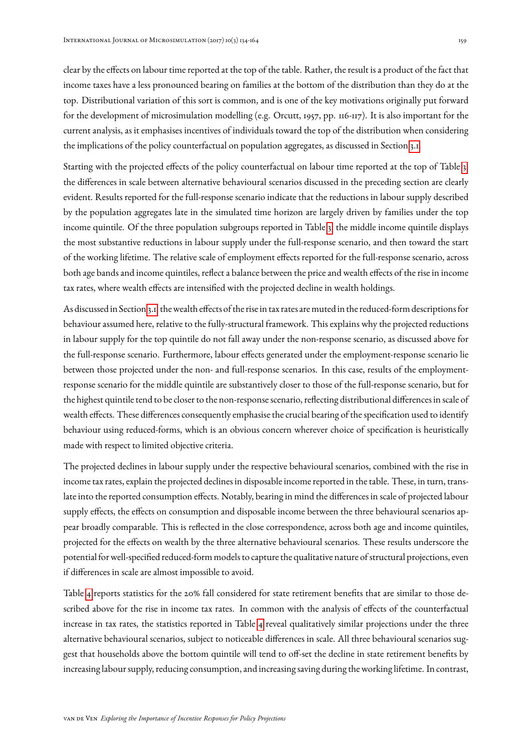clear by the effects on labour time reported at the top of the table. Rather, the result is a product of the fact that income taxes have a less pronounced bearing on families at the bottom of the distribution than they do at the top. Distributional variation of this sort is common, and is one of the key motivations originally put forward for the development of microsimulation modelling (e.g. Orcutt, 1957, pp. 116-117). It is also important for the current analysis, as it emphasises incentives of individuals toward the top of the distribution when considering the implications of the policy counterfactual on population aggregates, as discussed in Section [3.1.](#page-17-1)

Starting with the projected effects of the policy counterfactual on labour time reported at the top of Table [3,](#page-24-0) the differences in scale between alternative behavioural scenarios discussed in the preceding section are clearly evident. Results reported for the full-response scenario indicate that the reductions in labour supply described by the population aggregates late in the simulated time horizon are largely driven by families under the top income quintile. Of the three population subgroups reported in Table [3,](#page-24-0) the middle income quintile displays the most substantive reductions in labour supply under the full-response scenario, and then toward the start of the working lifetime. The relative scale of employment effects reported for the full-response scenario, across both age bands and income quintiles, reflect a balance between the price and wealth effects of the rise in income tax rates, where wealth effects are intensified with the projected decline in wealth holdings.

As discussed in Section [3.1,](#page-17-1) thewealth effects of the rise in tax rates are muted in the reduced-form descriptions for behaviour assumed here, relative to the fully-structural framework. This explains why the projected reductions in labour supply for the top quintile do not fall away under the non-response scenario, as discussed above for the full-response scenario. Furthermore, labour effects generated under the employment-response scenario lie between those projected under the non- and full-response scenarios. In this case, results of the employmentresponse scenario for the middle quintile are substantively closer to those of the full-response scenario, but for the highest quintile tend to be closer to the non-response scenario, reflecting distributional differences in scale of wealth effects. These differences consequently emphasise the crucial bearing of the specification used to identify behaviour using reduced-forms, which is an obvious concern wherever choice of specification is heuristically made with respect to limited objective criteria.

The projected declines in labour supply under the respective behavioural scenarios, combined with the rise in income tax rates, explain the projected declines in disposable income reported in the table. These, in turn, translate into the reported consumption effects. Notably, bearing in mind the differences in scale of projected labour supply effects, the effects on consumption and disposable income between the three behavioural scenarios appear broadly comparable. This is reflected in the close correspondence, across both age and income quintiles, projected for the effects on wealth by the three alternative behavioural scenarios. These results underscore the potential for well-specified reduced-form models to capture the qualitative nature of structural projections, even if differences in scale are almost impossible to avoid.

Table [4](#page-26-0) reports statistics for the 20% fall considered for state retirement benefits that are similar to those described above for the rise in income tax rates. In common with the analysis of effects of the counterfactual increase in tax rates, the statistics reported in Table [4](#page-26-0) reveal qualitatively similar projections under the three alternative behavioural scenarios, subject to noticeable differences in scale. All three behavioural scenarios suggest that households above the bottom quintile will tend to off-set the decline in state retirement benefits by increasing labour supply, reducing consumption, and increasing saving during the working lifetime. In contrast,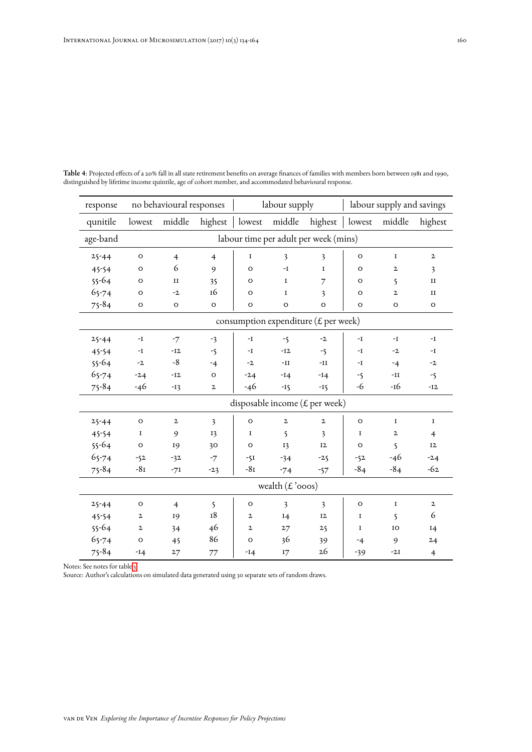| response  |              | no behavioural responses              |                |              | labour supply                                 |                |             | labour supply and savings |                |  |
|-----------|--------------|---------------------------------------|----------------|--------------|-----------------------------------------------|----------------|-------------|---------------------------|----------------|--|
| qunitile  | lowest       | middle                                | highest        | lowest       | middle                                        | highest        | lowest      | middle                    | highest        |  |
| age-band  |              | labour time per adult per week (mins) |                |              |                                               |                |             |                           |                |  |
| $25 - 44$ | $\circ$      | $\overline{4}$                        | $\overline{4}$ | 1            | 3                                             | 3              | $\circ$     | $\mathbf I$               | $\mathbf{z}$   |  |
| 45-54     | O            | 6                                     | 9              | O            | -I                                            | $\mathbf I$    | O           | $\mathbf{z}$              | 3              |  |
| $55 - 64$ | o            | п                                     | 35             | O            | 1                                             | 7              | O           | 5                         | $_{\rm II}$    |  |
| 65-74     | $\circ$      | $-2$                                  | 16             | O            | $\mathbf I$                                   | 3              | $\mathbf O$ | $\mathbf{z}$              | II             |  |
| $75 - 84$ | $\mathbf{o}$ | $\mathbf O$                           | $\mathbf{o}$   | $\circ$      | $\mathbf{o}$                                  | $\mathbf{o}$   | $\mathbf O$ | $\mathbf O$               | $\mathbf{o}$   |  |
|           |              |                                       |                |              | consumption expenditure ( $\pounds$ per week) |                |             |                           |                |  |
| $25 - 44$ | -I           | $-7$                                  | $-3$           | $-I$         | $-5$                                          | $-2$           | $-I$        | $-I$                      | $-I$           |  |
| 45-54     | -I           | $-I2$                                 | $-\zeta$       | -I           | $-I2$                                         | $-\zeta$       | -1          | $-2$                      | -1             |  |
| $55 - 64$ | $-2$         | $-8$                                  | $-4$           | $-2$         | $\mathbf{-II}$                                | $\mathbf{-II}$ | $-I$        | $-4$                      | $-2$           |  |
| $65 - 74$ | $-24$        | $-12$                                 | $\circ$        | $-24$        | $-14$                                         | $-14$          | -5          | $\mathbf{-II}$            | $-5$           |  |
| $75 - 84$ | -46          | $-13$                                 | $\mathbf{z}$   | $-46$        | $-15$                                         | $-15$          | -6          | -16                       | $-12$          |  |
|           |              |                                       |                |              | disposable income (£ per week)                |                |             |                           |                |  |
| $25 - 44$ | $\circ$      | $\mathbf{z}$                          | 3              | $\circ$      | $\mathbf{2}$                                  | $\mathbf{2}$   | $\circ$     | $\mathbf I$               | $\mathbf I$    |  |
| 45-54     | 1            | 9                                     | 13             | 1            | $\mathsf{S}$                                  | 3              | I           | $\mathbf{z}$              | $\overline{4}$ |  |
| $55 - 64$ | $\mathbf{o}$ | 19                                    | 30             | $\circ$      | 13                                            | 12             | $\mathbf O$ | 5                         | 12             |  |
| $65 - 74$ | $-52$        | $-32$                                 | $-7$           | $-5I$        | $-34$                                         | $-25$          | $-52$       | -46                       | $-2.4$         |  |
| $75 - 84$ | $-8I$        | $-71$                                 | $-23$          | $-8I$        | $-74$                                         | $-57$          | $-84$       | $-84$                     | $-62$          |  |
|           |              |                                       |                |              | wealth $(E'$ ooos)                            |                |             |                           |                |  |
| $25 - 44$ | $\circ$      | $\overline{4}$                        | 5              | O            | 3                                             | 3              | $\circ$     | $\mathbf I$               | $\mathbf{2}$   |  |
| 45-54     | $\mathbf{z}$ | 19                                    | 18             | $\mathbf{z}$ | I4                                            | 12             | I           | $\mathsf{S}$              | 6              |  |
| $55 - 64$ | $\mathbf{2}$ | 34                                    | 46             | $\mathbf{z}$ | 27                                            | 25             | I           | IO                        | I4             |  |
| $65 - 74$ | $\circ$      | 45                                    | 86             | $\circ$      | 36                                            | 39             | -4          | 9                         | 24             |  |
| $75 - 84$ | $-14$        | 27                                    | 77             | $-14$        | I7                                            | 26             | $-39$       | $-2I$                     | $\overline{4}$ |  |

<span id="page-26-0"></span>Table 4: Projected effects of a 20% fall in all state retirement benefits on average finances of families with members born between 1981 and 1990, distinguished by lifetime income quintile, age of cohort member, and accommodated behavioural response.

Notes: See notes for table [3.](#page-24-0)

Source: Author's calculations on simulated data generated using 30 separate sets of random draws.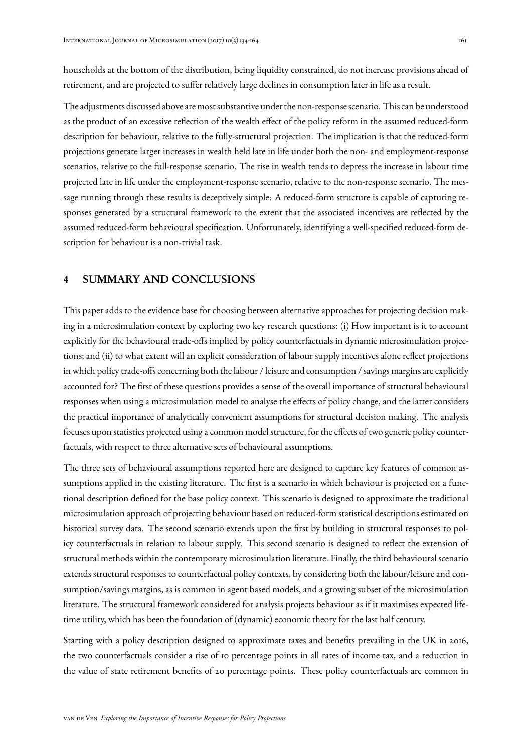households at the bottom of the distribution, being liquidity constrained, do not increase provisions ahead of retirement, and are projected to suffer relatively large declines in consumption later in life as a result.

The adjustments discussed above are most substantive under the non-response scenario. This can be understood as the product of an excessive reflection of the wealth effect of the policy reform in the assumed reduced-form description for behaviour, relative to the fully-structural projection. The implication is that the reduced-form projections generate larger increases in wealth held late in life under both the non- and employment-response scenarios, relative to the full-response scenario. The rise in wealth tends to depress the increase in labour time projected late in life under the employment-response scenario, relative to the non-response scenario. The message running through these results is deceptively simple: A reduced-form structure is capable of capturing responses generated by a structural framework to the extent that the associated incentives are reflected by the assumed reduced-form behavioural specification. Unfortunately, identifying a well-specified reduced-form description for behaviour is a non-trivial task.

## <span id="page-27-0"></span>4 SUMMARY AND CONCLUSIONS

This paper adds to the evidence base for choosing between alternative approaches for projecting decision making in a microsimulation context by exploring two key research questions: (i) How important is it to account explicitly for the behavioural trade-offs implied by policy counterfactuals in dynamic microsimulation projections; and (ii) to what extent will an explicit consideration of labour supply incentives alone reflect projections in which policy trade-offs concerning both the labour / leisure and consumption / savings margins are explicitly accounted for? The first of these questions provides a sense of the overall importance of structural behavioural responses when using a microsimulation model to analyse the effects of policy change, and the latter considers the practical importance of analytically convenient assumptions for structural decision making. The analysis focuses upon statistics projected using a common model structure, for the effects of two generic policy counterfactuals, with respect to three alternative sets of behavioural assumptions.

The three sets of behavioural assumptions reported here are designed to capture key features of common assumptions applied in the existing literature. The first is a scenario in which behaviour is projected on a functional description defined for the base policy context. This scenario is designed to approximate the traditional microsimulation approach of projecting behaviour based on reduced-form statistical descriptions estimated on historical survey data. The second scenario extends upon the first by building in structural responses to policy counterfactuals in relation to labour supply. This second scenario is designed to reflect the extension of structural methods within the contemporary microsimulation literature. Finally, the third behavioural scenario extends structural responses to counterfactual policy contexts, by considering both the labour/leisure and consumption/savings margins, as is common in agent based models, and a growing subset of the microsimulation literature. The structural framework considered for analysis projects behaviour as if it maximises expected lifetime utility, which has been the foundation of (dynamic) economic theory for the last half century.

Starting with a policy description designed to approximate taxes and benefits prevailing in the UK in 2016, the two counterfactuals consider a rise of 10 percentage points in all rates of income tax, and a reduction in the value of state retirement benefits of 20 percentage points. These policy counterfactuals are common in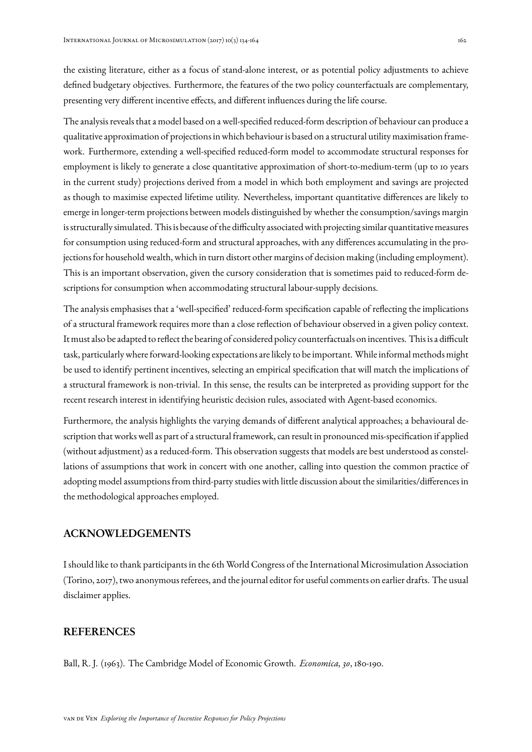the existing literature, either as a focus of stand-alone interest, or as potential policy adjustments to achieve defined budgetary objectives. Furthermore, the features of the two policy counterfactuals are complementary, presenting very different incentive effects, and different influences during the life course.

The analysis reveals that a model based on a well-specified reduced-form description of behaviour can produce a qualitative approximation of projections in which behaviour is based on a structural utility maximisation framework. Furthermore, extending a well-specified reduced-form model to accommodate structural responses for employment is likely to generate a close quantitative approximation of short-to-medium-term (up to 10 years in the current study) projections derived from a model in which both employment and savings are projected as though to maximise expected lifetime utility. Nevertheless, important quantitative differences are likely to emerge in longer-term projections between models distinguished by whether the consumption/savings margin is structurally simulated. This is because of the difficulty associatedwith projecting similar quantitative measures for consumption using reduced-form and structural approaches, with any differences accumulating in the projections for household wealth, which in turn distort other margins of decision making (including employment). This is an important observation, given the cursory consideration that is sometimes paid to reduced-form descriptions for consumption when accommodating structural labour-supply decisions.

The analysis emphasises that a 'well-specified' reduced-form specification capable of reflecting the implications of a structural framework requires more than a close reflection of behaviour observed in a given policy context. It must also be adapted to reflect the bearing of considered policy counterfactuals on incentives. This is a difficult task, particularly where forward-looking expectations are likely to be important. While informal methods might be used to identify pertinent incentives, selecting an empirical specification that will match the implications of a structural framework is non-trivial. In this sense, the results can be interpreted as providing support for the recent research interest in identifying heuristic decision rules, associated with Agent-based economics.

Furthermore, the analysis highlights the varying demands of different analytical approaches; a behavioural description that works well as part of a structural framework, can result in pronounced mis-specification if applied (without adjustment) as a reduced-form. This observation suggests that models are best understood as constellations of assumptions that work in concert with one another, calling into question the common practice of adopting model assumptions from third-party studies with little discussion about the similarities/differences in the methodological approaches employed.

## ACKNOWLEDGEMENTS

I should like to thank participants in the 6th World Congress of the International Microsimulation Association (Torino, 2017), two anonymous referees, and the journal editor for useful comments on earlier drafts. The usual disclaimer applies.

## **REFERENCES**

Ball, R. J. (1963). The Cambridge Model of Economic Growth. *Economica*, *30*, 180-190.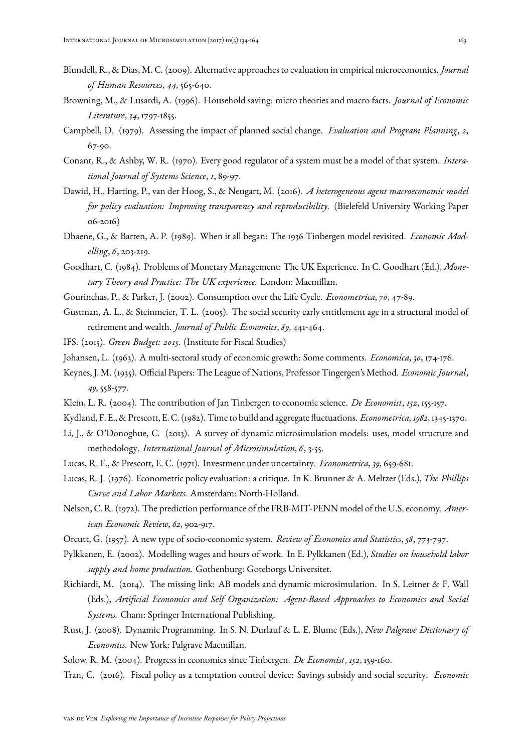- Blundell, R., & Dias, M. C. (2009). Alternative approaches to evaluation in empirical microeconomics. *Journal of Human Resources*, *44*, 565-640.
- Browning, M., & Lusardi, A. (1996). Household saving: micro theories and macro facts. *Journal of Economic Literature*, *34*, 1797-1855.
- Campbell, D. (1979). Assessing the impact of planned social change. *Evaluation and Program Planning*, *2*, 67-90.
- Conant, R., & Ashby, W. R. (1970). Every good regulator of a system must be a model of that system. *Interational Journal of Systems Science*, *1*, 89-97.
- Dawid, H., Harting, P., van der Hoog, S., & Neugart, M. (2016). *A heterogeneous agent macroeconomic model for policy evaluation: Improving transparency and reproducibility.* (Bielefeld University Working Paper 06-2016)
- Dhaene, G., & Barten, A. P. (1989). When it all began: The 1936 Tinbergen model revisited. *Economic Modelling*, *6*, 203-219.
- Goodhart, C. (1984). Problems of Monetary Management: The UK Experience. In C. Goodhart (Ed.), *Monetary Theory and Practice: The UK experience.* London: Macmillan.
- <span id="page-29-0"></span>Gourinchas, P., & Parker, J. (2002). Consumption over the Life Cycle. *Econometrica*, *70*, 47-89.
- Gustman, A. L., & Steinmeier, T. L. (2005). The social security early entitlement age in a structural model of retirement and wealth. *Journal of Public Economics*, *89*, 441-464.
- IFS. (2015). *Green Budget: 2015.* (Institute for Fiscal Studies)
- Johansen, L. (1963). A multi-sectoral study of economic growth: Some comments. *Economica*, *30*, 174-176.
- Keynes, J. M. (1935). Official Papers: The League of Nations, Professor Tingergen's Method. *Economic Journal*, *49*, 558-577.
- Klein, L. R. (2004). The contribution of Jan Tinbergen to economic science. *De Economist*, *152*, 155-157.
- Kydland, F. E., & Prescott, E. C. (1982). Time to build and aggregate fluctuations. *Econometrica*,*1982*, 1345-1370.
- Li, J., & O'Donoghue, C. (2013). A survey of dynamic microsimulation models: uses, model structure and methodology. *International Journal of Microsimulation*, *6*, 3-55.
- Lucas, R. E., & Prescott, E. C. (1971). Investment under uncertainty. *Econometrica*, *39*, 659-681.
- Lucas, R. J. (1976). Econometric policy evaluation: a critique. In K. Brunner & A. Meltzer (Eds.), *The Phillips Curve and Labor Markets.* Amsterdam: North-Holland.
- Nelson, C. R. (1972). The prediction performance of the FRB-MIT-PENN model of the U.S. economy. *American Economic Review*, *62*, 902-917.
- Orcutt, G. (1957). A new type of socio-economic system. *Review of Economics and Statistics*, *58*, 773-797.
- Pylkkanen, E. (2002). Modelling wages and hours of work. In E. Pylkkanen (Ed.), *Studies on household labor supply and home production.* Gothenburg: Goteborgs Universitet.
- Richiardi, M. (2014). The missing link: AB models and dynamic microsimulation. In S. Leitner & F. Wall (Eds.), *Artificial Economics and Self Organization: Agent-Based Approaches to Economics and Social Systems.* Cham: Springer International Publishing.
- Rust, J. (2008). Dynamic Programming. In S. N. Durlauf & L. E. Blume (Eds.), *New Palgrave Dictionary of Economics.* New York: Palgrave Macmillan.
- Solow, R. M. (2004). Progress in economics since Tinbergen. *De Economist*, *152*, 159-160.
- Tran, C. (2016). Fiscal policy as a temptation control device: Savings subsidy and social security. *Economic*